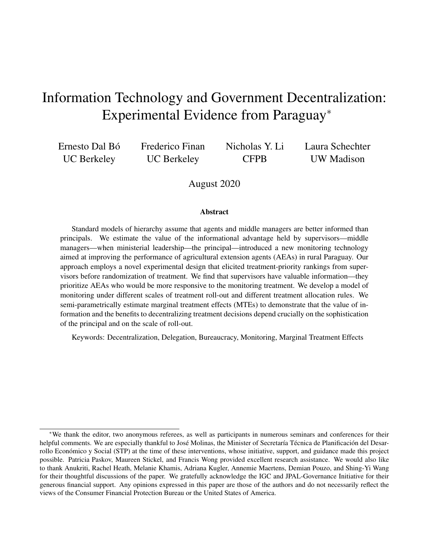# Information Technology and Government Decentralization: Experimental Evidence from Paraguay<sup>∗</sup>

Ernesto Dal Bó UC Berkeley

Frederico Finan UC Berkeley

Nicholas Y. Li **CFPB** 

Laura Schechter UW Madison

#### August 2020

#### Abstract

Standard models of hierarchy assume that agents and middle managers are better informed than principals. We estimate the value of the informational advantage held by supervisors—middle managers—when ministerial leadership—the principal—introduced a new monitoring technology aimed at improving the performance of agricultural extension agents (AEAs) in rural Paraguay. Our approach employs a novel experimental design that elicited treatment-priority rankings from supervisors before randomization of treatment. We find that supervisors have valuable information—they prioritize AEAs who would be more responsive to the monitoring treatment. We develop a model of monitoring under different scales of treatment roll-out and different treatment allocation rules. We semi-parametrically estimate marginal treatment effects (MTEs) to demonstrate that the value of information and the benefits to decentralizing treatment decisions depend crucially on the sophistication of the principal and on the scale of roll-out.

Keywords: Decentralization, Delegation, Bureaucracy, Monitoring, Marginal Treatment Effects

<sup>∗</sup>We thank the editor, two anonymous referees, as well as participants in numerous seminars and conferences for their helpful comments. We are especially thankful to José Molinas, the Minister of Secretaría Técnica de Planificación del Desarrollo Económico y Social (STP) at the time of these interventions, whose initiative, support, and guidance made this project possible. Patricia Paskov, Maureen Stickel, and Francis Wong provided excellent research assistance. We would also like to thank Anukriti, Rachel Heath, Melanie Khamis, Adriana Kugler, Annemie Maertens, Demian Pouzo, and Shing-Yi Wang for their thoughtful discussions of the paper. We gratefully acknowledge the IGC and JPAL-Governance Initiative for their generous financial support. Any opinions expressed in this paper are those of the authors and do not necessarily reflect the views of the Consumer Financial Protection Bureau or the United States of America.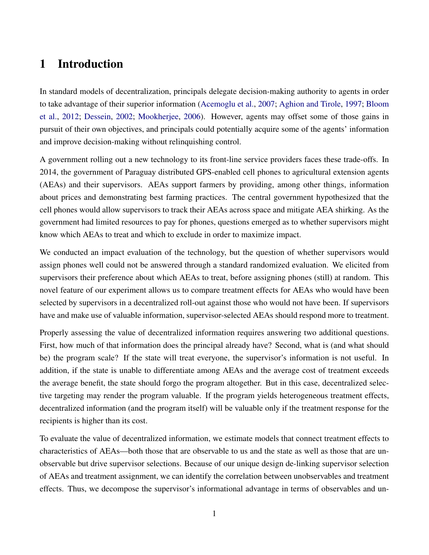# 1 Introduction

In standard models of decentralization, principals delegate decision-making authority to agents in order to take advantage of their superior information [\(Acemoglu et al.,](#page-21-0) [2007;](#page-21-0) [Aghion and Tirole,](#page-21-1) [1997;](#page-21-1) [Bloom](#page-22-0) [et al.,](#page-22-0) [2012;](#page-22-0) [Dessein,](#page-22-1) [2002;](#page-22-1) [Mookherjee,](#page-23-0) [2006\)](#page-23-0). However, agents may offset some of those gains in pursuit of their own objectives, and principals could potentially acquire some of the agents' information and improve decision-making without relinquishing control.

A government rolling out a new technology to its front-line service providers faces these trade-offs. In 2014, the government of Paraguay distributed GPS-enabled cell phones to agricultural extension agents (AEAs) and their supervisors. AEAs support farmers by providing, among other things, information about prices and demonstrating best farming practices. The central government hypothesized that the cell phones would allow supervisors to track their AEAs across space and mitigate AEA shirking. As the government had limited resources to pay for phones, questions emerged as to whether supervisors might know which AEAs to treat and which to exclude in order to maximize impact.

We conducted an impact evaluation of the technology, but the question of whether supervisors would assign phones well could not be answered through a standard randomized evaluation. We elicited from supervisors their preference about which AEAs to treat, before assigning phones (still) at random. This novel feature of our experiment allows us to compare treatment effects for AEAs who would have been selected by supervisors in a decentralized roll-out against those who would not have been. If supervisors have and make use of valuable information, supervisor-selected AEAs should respond more to treatment.

Properly assessing the value of decentralized information requires answering two additional questions. First, how much of that information does the principal already have? Second, what is (and what should be) the program scale? If the state will treat everyone, the supervisor's information is not useful. In addition, if the state is unable to differentiate among AEAs and the average cost of treatment exceeds the average benefit, the state should forgo the program altogether. But in this case, decentralized selective targeting may render the program valuable. If the program yields heterogeneous treatment effects, decentralized information (and the program itself) will be valuable only if the treatment response for the recipients is higher than its cost.

To evaluate the value of decentralized information, we estimate models that connect treatment effects to characteristics of AEAs—both those that are observable to us and the state as well as those that are unobservable but drive supervisor selections. Because of our unique design de-linking supervisor selection of AEAs and treatment assignment, we can identify the correlation between unobservables and treatment effects. Thus, we decompose the supervisor's informational advantage in terms of observables and un-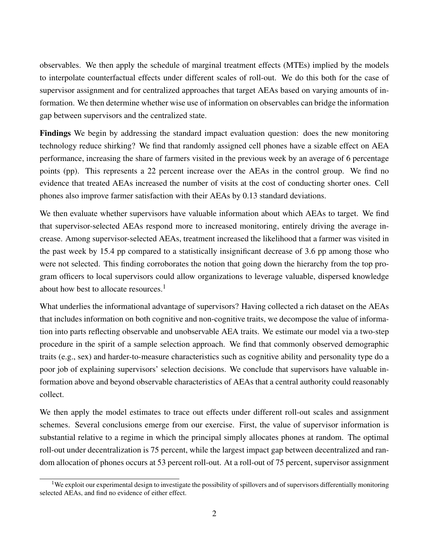observables. We then apply the schedule of marginal treatment effects (MTEs) implied by the models to interpolate counterfactual effects under different scales of roll-out. We do this both for the case of supervisor assignment and for centralized approaches that target AEAs based on varying amounts of information. We then determine whether wise use of information on observables can bridge the information gap between supervisors and the centralized state.

Findings We begin by addressing the standard impact evaluation question: does the new monitoring technology reduce shirking? We find that randomly assigned cell phones have a sizable effect on AEA performance, increasing the share of farmers visited in the previous week by an average of 6 percentage points (pp). This represents a 22 percent increase over the AEAs in the control group. We find no evidence that treated AEAs increased the number of visits at the cost of conducting shorter ones. Cell phones also improve farmer satisfaction with their AEAs by 0.13 standard deviations.

We then evaluate whether supervisors have valuable information about which AEAs to target. We find that supervisor-selected AEAs respond more to increased monitoring, entirely driving the average increase. Among supervisor-selected AEAs, treatment increased the likelihood that a farmer was visited in the past week by 15.4 pp compared to a statistically insignificant decrease of 3.6 pp among those who were not selected. This finding corroborates the notion that going down the hierarchy from the top program officers to local supervisors could allow organizations to leverage valuable, dispersed knowledge about how best to allocate resources. $<sup>1</sup>$ </sup>

What underlies the informational advantage of supervisors? Having collected a rich dataset on the AEAs that includes information on both cognitive and non-cognitive traits, we decompose the value of information into parts reflecting observable and unobservable AEA traits. We estimate our model via a two-step procedure in the spirit of a sample selection approach. We find that commonly observed demographic traits (e.g., sex) and harder-to-measure characteristics such as cognitive ability and personality type do a poor job of explaining supervisors' selection decisions. We conclude that supervisors have valuable information above and beyond observable characteristics of AEAs that a central authority could reasonably collect.

We then apply the model estimates to trace out effects under different roll-out scales and assignment schemes. Several conclusions emerge from our exercise. First, the value of supervisor information is substantial relative to a regime in which the principal simply allocates phones at random. The optimal roll-out under decentralization is 75 percent, while the largest impact gap between decentralized and random allocation of phones occurs at 53 percent roll-out. At a roll-out of 75 percent, supervisor assignment

<sup>&</sup>lt;sup>1</sup>We exploit our experimental design to investigate the possibility of spillovers and of supervisors differentially monitoring selected AEAs, and find no evidence of either effect.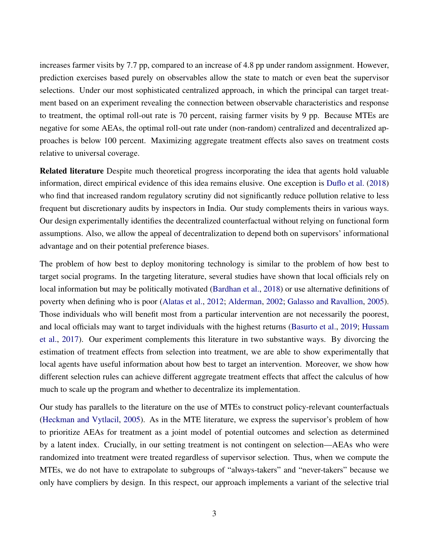increases farmer visits by 7.7 pp, compared to an increase of 4.8 pp under random assignment. However, prediction exercises based purely on observables allow the state to match or even beat the supervisor selections. Under our most sophisticated centralized approach, in which the principal can target treatment based on an experiment revealing the connection between observable characteristics and response to treatment, the optimal roll-out rate is 70 percent, raising farmer visits by 9 pp. Because MTEs are negative for some AEAs, the optimal roll-out rate under (non-random) centralized and decentralized approaches is below 100 percent. Maximizing aggregate treatment effects also saves on treatment costs relative to universal coverage.

Related literature Despite much theoretical progress incorporating the idea that agents hold valuable information, direct empirical evidence of this idea remains elusive. One exception is [Duflo et al.](#page-23-1) [\(2018\)](#page-23-1) who find that increased random regulatory scrutiny did not significantly reduce pollution relative to less frequent but discretionary audits by inspectors in India. Our study complements theirs in various ways. Our design experimentally identifies the decentralized counterfactual without relying on functional form assumptions. Also, we allow the appeal of decentralization to depend both on supervisors' informational advantage and on their potential preference biases.

The problem of how best to deploy monitoring technology is similar to the problem of how best to target social programs. In the targeting literature, several studies have shown that local officials rely on local information but may be politically motivated [\(Bardhan et al.,](#page-22-2) [2018\)](#page-22-2) or use alternative definitions of poverty when defining who is poor [\(Alatas et al.,](#page-21-2) [2012;](#page-21-2) [Alderman,](#page-21-3) [2002;](#page-21-3) [Galasso and Ravallion,](#page-23-2) [2005\)](#page-23-2). Those individuals who will benefit most from a particular intervention are not necessarily the poorest, and local officials may want to target individuals with the highest returns [\(Basurto et al.,](#page-22-3) [2019;](#page-22-3) [Hussam](#page-23-3) [et al.,](#page-23-3) [2017\)](#page-23-3). Our experiment complements this literature in two substantive ways. By divorcing the estimation of treatment effects from selection into treatment, we are able to show experimentally that local agents have useful information about how best to target an intervention. Moreover, we show how different selection rules can achieve different aggregate treatment effects that affect the calculus of how much to scale up the program and whether to decentralize its implementation.

Our study has parallels to the literature on the use of MTEs to construct policy-relevant counterfactuals [\(Heckman and Vytlacil,](#page-23-4) [2005\)](#page-23-4). As in the MTE literature, we express the supervisor's problem of how to prioritize AEAs for treatment as a joint model of potential outcomes and selection as determined by a latent index. Crucially, in our setting treatment is not contingent on selection—AEAs who were randomized into treatment were treated regardless of supervisor selection. Thus, when we compute the MTEs, we do not have to extrapolate to subgroups of "always-takers" and "never-takers" because we only have compliers by design. In this respect, our approach implements a variant of the selective trial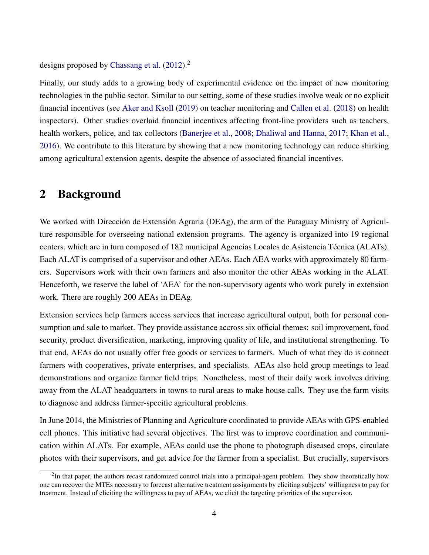designs proposed by [Chassang et al.](#page-22-4)  $(2012)^2$  $(2012)^2$ 

Finally, our study adds to a growing body of experimental evidence on the impact of new monitoring technologies in the public sector. Similar to our setting, some of these studies involve weak or no explicit financial incentives (see [Aker and Ksoll](#page-21-4) [\(2019\)](#page-21-4) on teacher monitoring and [Callen et al.](#page-22-5) [\(2018\)](#page-22-5) on health inspectors). Other studies overlaid financial incentives affecting front-line providers such as teachers, health workers, police, and tax collectors [\(Banerjee et al.,](#page-22-6) [2008;](#page-22-6) [Dhaliwal and Hanna,](#page-22-7) [2017;](#page-22-7) [Khan et al.,](#page-23-5) [2016\)](#page-23-5). We contribute to this literature by showing that a new monitoring technology can reduce shirking among agricultural extension agents, despite the absence of associated financial incentives.

### 2 Background

We worked with Dirección de Extensión Agraria (DEAg), the arm of the Paraguay Ministry of Agriculture responsible for overseeing national extension programs. The agency is organized into 19 regional centers, which are in turn composed of 182 municipal Agencias Locales de Asistencia Técnica (ALATs). Each ALAT is comprised of a supervisor and other AEAs. Each AEA works with approximately 80 farmers. Supervisors work with their own farmers and also monitor the other AEAs working in the ALAT. Henceforth, we reserve the label of 'AEA' for the non-supervisory agents who work purely in extension work. There are roughly 200 AEAs in DEAg.

Extension services help farmers access services that increase agricultural output, both for personal consumption and sale to market. They provide assistance accross six official themes: soil improvement, food security, product diversification, marketing, improving quality of life, and institutional strengthening. To that end, AEAs do not usually offer free goods or services to farmers. Much of what they do is connect farmers with cooperatives, private enterprises, and specialists. AEAs also hold group meetings to lead demonstrations and organize farmer field trips. Nonetheless, most of their daily work involves driving away from the ALAT headquarters in towns to rural areas to make house calls. They use the farm visits to diagnose and address farmer-specific agricultural problems.

In June 2014, the Ministries of Planning and Agriculture coordinated to provide AEAs with GPS-enabled cell phones. This initiative had several objectives. The first was to improve coordination and communication within ALATs. For example, AEAs could use the phone to photograph diseased crops, circulate photos with their supervisors, and get advice for the farmer from a specialist. But crucially, supervisors

 $2$ In that paper, the authors recast randomized control trials into a principal-agent problem. They show theoretically how one can recover the MTEs necessary to forecast alternative treatment assignments by eliciting subjects' willingness to pay for treatment. Instead of eliciting the willingness to pay of AEAs, we elicit the targeting priorities of the supervisor.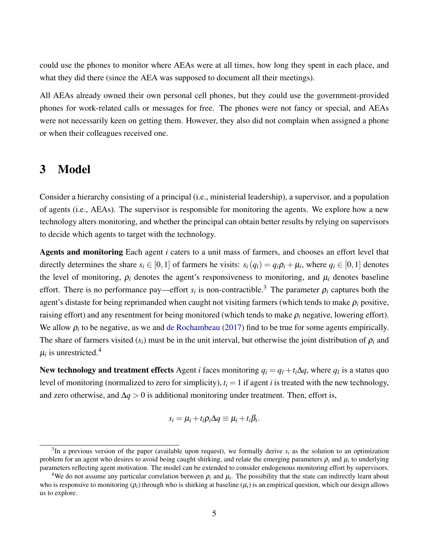could use the phones to monitor where AEAs were at all times, how long they spent in each place, and what they did there (since the AEA was supposed to document all their meetings).

All AEAs already owned their own personal cell phones, but they could use the government-provided phones for work-related calls or messages for free. The phones were not fancy or special, and AEAs were not necessarily keen on getting them. However, they also did not complain when assigned a phone or when their colleagues received one.

### <span id="page-5-0"></span>3 Model

Consider a hierarchy consisting of a principal (i.e., ministerial leadership), a supervisor, and a population of agents (i.e., AEAs). The supervisor is responsible for monitoring the agents. We explore how a new technology alters monitoring, and whether the principal can obtain better results by relying on supervisors to decide which agents to target with the technology.

Agents and monitoring Each agent *i* caters to a unit mass of farmers, and chooses an effort level that directly determines the share  $s_i \in [0,1]$  of farmers he visits:  $s_i(q_i) = q_i \rho_i + \mu_i$ , where  $q_i \in [0,1]$  denotes the level of monitoring,  $\rho_i$  denotes the agent's responsiveness to monitoring, and  $\mu_i$  denotes baseline effort. There is no performance pay—effort  $s_i$  is non-contractible.<sup>3</sup> The parameter  $\rho_i$  captures both the agent's distaste for being reprimanded when caught not visiting farmers (which tends to make ρ*<sup>i</sup>* positive, raising effort) and any resentment for being monitored (which tends to make  $\rho_i$  negative, lowering effort). We allow  $\rho_i$  to be negative, as we and [de Rochambeau](#page-22-8) [\(2017\)](#page-22-8) find to be true for some agents empirically. The share of farmers visited  $(s_i)$  must be in the unit interval, but otherwise the joint distribution of  $\rho_i$  and  $\mu_i$  is unrestricted.<sup>4</sup>

New technology and treatment effects Agent *i* faces monitoring  $q_i = q_l + t_i \Delta q$ , where  $q_l$  is a status quo level of monitoring (normalized to zero for simplicity),  $t_i = 1$  if agent *i* is treated with the new technology, and zero otherwise, and  $\Delta q > 0$  is additional monitoring under treatment. Then, effort is,

$$
s_i = \mu_i + t_i \rho_i \Delta q \equiv \mu_i + t_i \beta_i.
$$

 $3$ In a previous version of the paper (available upon request), we formally derive  $s_i$  as the solution to an optimization problem for an agent who desires to avoid being caught shirking, and relate the emerging parameters  $\rho_i$  and  $\mu_i$  to underlying parameters reflecting agent motivation. The model can be extended to consider endogenous monitoring effort by supervisors.

<sup>&</sup>lt;sup>4</sup>We do not assume any particular correlation between  $\rho_i$  and  $\mu_i$ . The possibility that the state can indirectly learn about who is responsive to monitoring  $(\rho_i)$  through who is shirking at baseline  $(\mu_i)$  is an empirical question, which our design allows us to explore.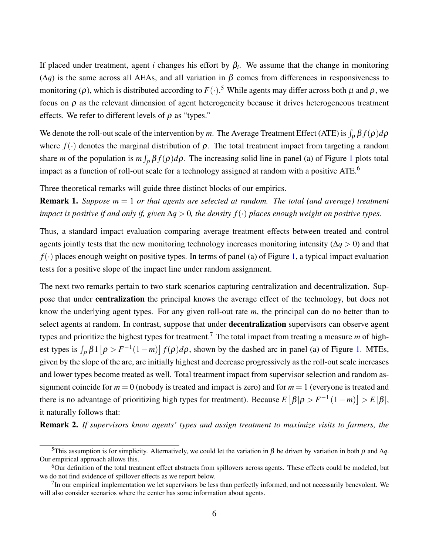If placed under treatment, agent *i* changes his effort by  $\beta_i$ . We assume that the change in monitoring  $(Δq)$  is the same across all AEAs, and all variation in β comes from differences in responsiveness to monitoring ( $\rho$ ), which is distributed according to  $F(\cdot)$ .<sup>5</sup> While agents may differ across both  $\mu$  and  $\rho$ , we focus on  $\rho$  as the relevant dimension of agent heterogeneity because it drives heterogeneous treatment effects. We refer to different levels of  $\rho$  as "types."

We denote the roll-out scale of the intervention by m. The Average Treatment Effect (ATE) is  $\int_{\rho} \beta f(\rho) d\rho$ where  $f(\cdot)$  denotes the marginal distribution of  $\rho$ . The total treatment impact from targeting a random share *m* of the population is  $m \int_{\rho} \beta f(\rho) d\rho$ . The increasing solid line in panel (a) of Figure [1](#page-24-0) plots total impact as a function of roll-out scale for a technology assigned at random with a positive ATE.<sup>6</sup>

Three theoretical remarks will guide three distinct blocks of our empirics.

Remark 1. *Suppose m* = 1 *or that agents are selected at random. The total (and average) treatment impact is positive if and only if, given* ∆*q* > 0*, the density f*(·) *places enough weight on positive types.*

Thus, a standard impact evaluation comparing average treatment effects between treated and control agents jointly tests that the new monitoring technology increases monitoring intensity (∆*q* > 0) and that  $f(\cdot)$  places enough weight on positive types. In terms of panel (a) of Figure [1,](#page-24-0) a typical impact evaluation tests for a positive slope of the impact line under random assignment.

The next two remarks pertain to two stark scenarios capturing centralization and decentralization. Suppose that under centralization the principal knows the average effect of the technology, but does not know the underlying agent types. For any given roll-out rate *m*, the principal can do no better than to select agents at random. In contrast, suppose that under **decentralization** supervisors can observe agent types and prioritize the highest types for treatment.<sup>7</sup> The total impact from treating a measure  $m$  of highest types is  $\int_{\rho} \beta 1 \left[ \rho > F^{-1}(1-m) \right] f(\rho) d\rho$ , shown by the dashed arc in panel (a) of Figure [1.](#page-24-0) MTEs, given by the slope of the arc, are initially highest and decrease progressively as the roll-out scale increases and lower types become treated as well. Total treatment impact from supervisor selection and random assignment coincide for *m* = 0 (nobody is treated and impact is zero) and for *m* = 1 (everyone is treated and there is no advantage of prioritizing high types for treatment). Because  $E[\beta|\rho > F^{-1}(1-m)] > E[\beta],$ it naturally follows that:

Remark 2. *If supervisors know agents' types and assign treatment to maximize visits to farmers, the*

<sup>&</sup>lt;sup>5</sup>This assumption is for simplicity. Alternatively, we could let the variation in  $\beta$  be driven by variation in both  $\rho$  and  $\Delta q$ . Our empirical approach allows this.

 $6$ Our definition of the total treatment effect abstracts from spillovers across agents. These effects could be modeled, but we do not find evidence of spillover effects as we report below.

 $<sup>7</sup>$ In our empirical implementation we let supervisors be less than perfectly informed, and not necessarily benevolent. We</sup> will also consider scenarios where the center has some information about agents.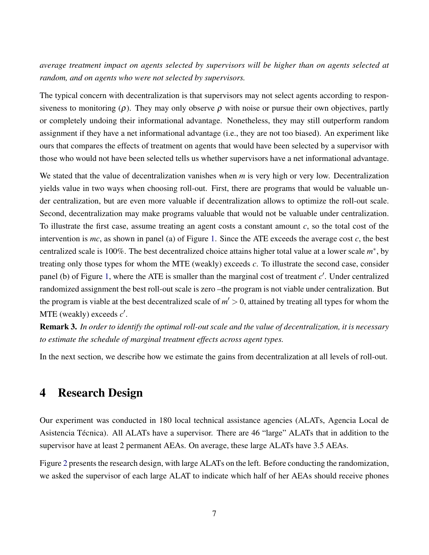*average treatment impact on agents selected by supervisors will be higher than on agents selected at random, and on agents who were not selected by supervisors.*

The typical concern with decentralization is that supervisors may not select agents according to responsiveness to monitoring ( $\rho$ ). They may only observe  $\rho$  with noise or pursue their own objectives, partly or completely undoing their informational advantage. Nonetheless, they may still outperform random assignment if they have a net informational advantage (i.e., they are not too biased). An experiment like ours that compares the effects of treatment on agents that would have been selected by a supervisor with those who would not have been selected tells us whether supervisors have a net informational advantage.

We stated that the value of decentralization vanishes when *m* is very high or very low. Decentralization yields value in two ways when choosing roll-out. First, there are programs that would be valuable under centralization, but are even more valuable if decentralization allows to optimize the roll-out scale. Second, decentralization may make programs valuable that would not be valuable under centralization. To illustrate the first case, assume treating an agent costs a constant amount *c*, so the total cost of the intervention is *mc*, as shown in panel (a) of Figure [1.](#page-24-0) Since the ATE exceeds the average cost *c*, the best centralized scale is 100%. The best decentralized choice attains higher total value at a lower scale *m* ∗ , by treating only those types for whom the MTE (weakly) exceeds *c*. To illustrate the second case, consider panel (b) of Figure [1,](#page-24-0) where the ATE is smaller than the marginal cost of treatment  $c'$ . Under centralized randomized assignment the best roll-out scale is zero –the program is not viable under centralization. But the program is viable at the best decentralized scale of  $m' > 0$ , attained by treating all types for whom the MTE (weakly) exceeds  $c'$ .

Remark 3. *In order to identify the optimal roll-out scale and the value of decentralization, it is necessary to estimate the schedule of marginal treatment effects across agent types.*

In the next section, we describe how we estimate the gains from decentralization at all levels of roll-out.

# 4 Research Design

Our experiment was conducted in 180 local technical assistance agencies (ALATs, Agencia Local de Asistencia Técnica). All ALATs have a supervisor. There are 46 "large" ALATs that in addition to the supervisor have at least 2 permanent AEAs. On average, these large ALATs have 3.5 AEAs.

Figure [2](#page-24-1) presents the research design, with large ALATs on the left. Before conducting the randomization, we asked the supervisor of each large ALAT to indicate which half of her AEAs should receive phones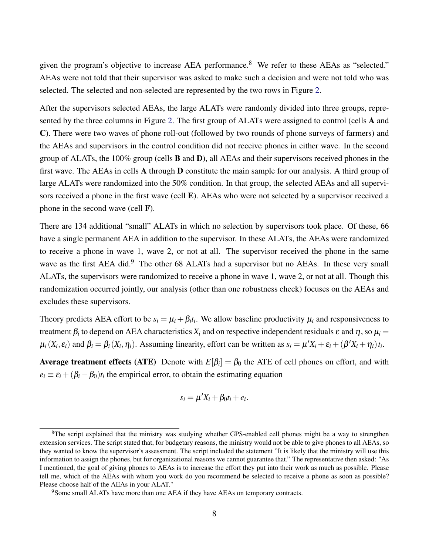given the program's objective to increase AEA performance.<sup>8</sup> We refer to these AEAs as "selected." AEAs were not told that their supervisor was asked to make such a decision and were not told who was selected. The selected and non-selected are represented by the two rows in Figure [2.](#page-24-1)

After the supervisors selected AEAs, the large ALATs were randomly divided into three groups, represented by the three columns in Figure [2.](#page-24-1) The first group of ALATs were assigned to control (cells A and C). There were two waves of phone roll-out (followed by two rounds of phone surveys of farmers) and the AEAs and supervisors in the control condition did not receive phones in either wave. In the second group of ALATs, the 100% group (cells B and D), all AEAs and their supervisors received phones in the first wave. The AEAs in cells A through D constitute the main sample for our analysis. A third group of large ALATs were randomized into the 50% condition. In that group, the selected AEAs and all supervisors received a phone in the first wave (cell E). AEAs who were not selected by a supervisor received a phone in the second wave (cell F).

There are 134 additional "small" ALATs in which no selection by supervisors took place. Of these, 66 have a single permanent AEA in addition to the supervisor. In these ALATs, the AEAs were randomized to receive a phone in wave 1, wave 2, or not at all. The supervisor received the phone in the same wave as the first AEA did.<sup>9</sup> The other 68 ALATs had a supervisor but no AEAs. In these very small ALATs, the supervisors were randomized to receive a phone in wave 1, wave 2, or not at all. Though this randomization occurred jointly, our analysis (other than one robustness check) focuses on the AEAs and excludes these supervisors.

Theory predicts AEA effort to be  $s_i = \mu_i + \beta_i t_i$ . We allow baseline productivity  $\mu_i$  and responsiveness to treatment  $\beta_i$  to depend on AEA characteristics  $X_i$  and on respective independent residuals  $\varepsilon$  and  $\eta$ , so  $\mu_i$  =  $\mu_i(X_i, \varepsilon_i)$  and  $\beta_i = \beta_i(X_i, \eta_i)$ . Assuming linearity, effort can be written as  $s_i = \mu' X_i + \varepsilon_i + (\beta' X_i + \eta_i) t_i$ .

**Average treatment effects (ATE)** Denote with  $E[\beta_i] = \beta_0$  the ATE of cell phones on effort, and with  $e_i \equiv \varepsilon_i + (\beta_i - \beta_0)t_i$  the empirical error, to obtain the estimating equation

$$
s_i = \mu' X_i + \beta_0 t_i + e_i.
$$

<sup>&</sup>lt;sup>8</sup>The script explained that the ministry was studying whether GPS-enabled cell phones might be a way to strengthen extension services. The script stated that, for budgetary reasons, the ministry would not be able to give phones to all AEAs, so they wanted to know the supervisor's assessment. The script included the statement "It is likely that the ministry will use this information to assign the phones, but for organizational reasons we cannot guarantee that." The representative then asked: "As I mentioned, the goal of giving phones to AEAs is to increase the effort they put into their work as much as possible. Please tell me, which of the AEAs with whom you work do you recommend be selected to receive a phone as soon as possible? Please choose half of the AEAs in your ALAT."

<sup>&</sup>lt;sup>9</sup>Some small ALATs have more than one AEA if they have AEAs on temporary contracts.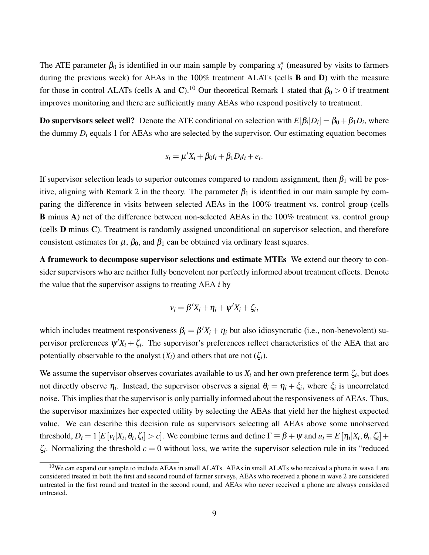The ATE parameter  $\beta_0$  is identified in our main sample by comparing  $s_i^*$  (measured by visits to farmers during the previous week) for AEAs in the 100% treatment ALATs (cells **B** and **D**) with the measure for those in control ALATs (cells A and C).<sup>10</sup> Our theoretical Remark 1 stated that  $\beta_0 > 0$  if treatment improves monitoring and there are sufficiently many AEAs who respond positively to treatment.

**Do supervisors select well?** Denote the ATE conditional on selection with  $E[\beta_i|D_i] = \beta_0 + \beta_1 D_i$ , where the dummy  $D_i$  equals 1 for AEAs who are selected by the supervisor. Our estimating equation becomes

$$
s_i = \mu' X_i + \beta_0 t_i + \beta_1 D_i t_i + e_i.
$$

If supervisor selection leads to superior outcomes compared to random assignment, then  $\beta_1$  will be positive, aligning with Remark 2 in the theory. The parameter  $\beta_1$  is identified in our main sample by comparing the difference in visits between selected AEAs in the 100% treatment vs. control group (cells B minus A) net of the difference between non-selected AEAs in the 100% treatment vs. control group (cells D minus C). Treatment is randomly assigned unconditional on supervisor selection, and therefore consistent estimates for  $\mu$ ,  $\beta_0$ , and  $\beta_1$  can be obtained via ordinary least squares.

A framework to decompose supervisor selections and estimate MTEs We extend our theory to consider supervisors who are neither fully benevolent nor perfectly informed about treatment effects. Denote the value that the supervisor assigns to treating AEA *i* by

$$
v_i = \beta' X_i + \eta_i + \psi' X_i + \zeta_i,
$$

which includes treatment responsiveness  $\beta_i = \beta' X_i + \eta_i$  but also idiosyncratic (i.e., non-benevolent) supervisor preferences  $\psi'X_i + \zeta_i$ . The supervisor's preferences reflect characteristics of the AEA that are potentially observable to the analyst  $(X_i)$  and others that are not  $(\zeta_i)$ .

We assume the supervisor observes covariates available to us  $X_i$  and her own preference term  $\zeta_i$ , but does not directly observe  $\eta_i$ . Instead, the supervisor observes a signal  $\theta_i = \eta_i + \xi_i$ , where  $\xi_i$  is uncorrelated noise. This implies that the supervisor is only partially informed about the responsiveness of AEAs. Thus, the supervisor maximizes her expected utility by selecting the AEAs that yield her the highest expected value. We can describe this decision rule as supervisors selecting all AEAs above some unobserved threshold,  $D_i=1$   $[E\left[v_i|X_i,\theta_i,\zeta_i\right]>c]$ . We combine terms and define  $\Gamma\equiv\beta+\psi$  and  $u_i\equiv E\left[\eta_i|X_i,\theta_i,\zeta_i\right]+$  $\zeta_i$ . Normalizing the threshold  $c = 0$  without loss, we write the supervisor selection rule in its "reduced"

 $10$ We can expand our sample to include AEAs in small ALATs. AEAs in small ALATs who received a phone in wave 1 are considered treated in both the first and second round of farmer surveys, AEAs who received a phone in wave 2 are considered untreated in the first round and treated in the second round, and AEAs who never received a phone are always considered untreated.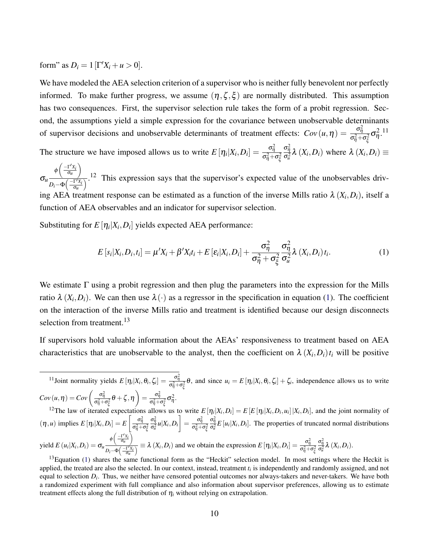form" as  $D_i = 1 \left[ \Gamma' X_i + u > 0 \right]$ .

We have modeled the AEA selection criterion of a supervisor who is neither fully benevolent nor perfectly informed. To make further progress, we assume  $(\eta, \zeta, \xi)$  are normally distributed. This assumption has two consequences. First, the supervisor selection rule takes the form of a probit regression. Second, the assumptions yield a simple expression for the covariance between unobservable determinants of supervisor decisions and unobservable determinants of treatment effects:  $Cov(u, \eta) = \frac{\sigma_{\eta}^2}{\sigma_{u+1}^2}$  $\frac{\sigma_{\tilde{\eta}}}{\sigma_{\eta}^2+\sigma_{\xi}^2}\sigma_{\eta}^2$ .<sup>11</sup>

The structure we have imposed allows us to write  $E[\eta_i|X_i,D_i] = \frac{\sigma_{\eta_i}^2}{\sigma_{i+1}^2}$  $\sigma_{\eta}^2 + \sigma_{\xi}^2$  $\frac{\sigma_{\eta}^2}{\sigma_u^2} \lambda(X_i, D_i)$  where  $\lambda(X_i, D_i) \equiv$  $\setminus$ 

σ*u*  $\phi\left(\frac{-\Gamma'X_i}{\sigma_u}\right)$  $\frac{C_0(u)}{D_i-\Phi\left(\frac{-\Gamma'X_i}{\sigma_u}\right)}$ .<sup>12</sup> This expression says that the supervisor's expected value of the unobservables driving AEA treatment response can be estimated as a function of the inverse Mills ratio  $\lambda(X_i, D_i)$ , itself a function of AEA observables and an indicator for supervisor selection.

Substituting for  $E[\eta_i|X_i, D_i]$  yields expected AEA performance:

<span id="page-10-0"></span>
$$
E\left[s_i|X_i,D_i,t_i\right] = \mu'X_i + \beta'X_it_i + E\left[\varepsilon_i|X_i,D_i\right] + \frac{\sigma_{\eta}^2}{\sigma_{\eta}^2 + \sigma_{\xi}^2}\frac{\sigma_{\eta}^2}{\sigma_{u}^2}\lambda\left(X_i,D_i\right)t_i.
$$
\n(1)

We estimate  $\Gamma$  using a probit regression and then plug the parameters into the expression for the Mills ratio  $\lambda$  ( $X_i, D_i$ ). We can then use  $\lambda(\cdot)$  as a regressor in the specification in equation [\(1\)](#page-10-0). The coefficient on the interaction of the inverse Mills ratio and treatment is identified because our design disconnects selection from treatment.<sup>13</sup>

If supervisors hold valuable information about the AEAs' responsiveness to treatment based on AEA characteristics that are unobservable to the analyst, then the coefficient on  $\lambda(X_i, D_i) t_i$  will be positive

<sup>11</sup>Joint normality yields  $E[\eta_i|X_i,\theta_i,\zeta_i] = \frac{\sigma_{\eta_i}^2}{\sigma_{\eta_i}^2}$  $\frac{\sigma_{\eta}}{\sigma_{\eta}^2 + \sigma_{\xi}^2}$  θ, and since  $u_i = E[\eta_i|X_i, \theta_i, \zeta_i] + \zeta_i$ , independence allows us to write  $Cov(u, \eta) = Cov\left(\frac{\sigma_{\eta}^2}{\sigma_{\eta}^2}\right)$  $\left( \frac{\sigma_\eta^2}{\sigma_\eta^2+\sigma_\xi^2} \theta + \zeta , \eta \right) = \frac{\sigma_\eta^2}{\sigma_\eta^2 + \sigma_\eta^2}$  $\frac{\sigma_{\tilde{\eta}}}{\sigma_{\eta}^2+\sigma_{\xi}^2}\sigma_{\eta}^2.$ 

<sup>12</sup>The law of iterated expectations allows us to write  $E[\eta_i|X_i,D_i] = E[E[\eta_i|X_i,D_i,u_i]|X_i,D_i]$ , and the joint normality of  $(\eta, u)$  implies  $E[\eta_i|X_i, D_i] = E\left[\frac{\sigma_{\eta}^2}{\sigma_{\eta}^2 + 1}\right]$  $\overline{\sigma_{\eta}^2+\sigma_{\xi}^2}$  $\left[ \frac{\sigma_\eta^2}{\sigma_u^2} u | X_i, D_i \right] = \frac{\sigma_\eta^2}{\sigma_\eta^2 + 1}$  $\overline{\sigma_{\eta}^2+\sigma_{\xi}^2}$  $\frac{\sigma_{\eta}^2}{\sigma_{\alpha}^2} E\left[ u_i | X_i, D_i \right]$ . The properties of truncated normal distributions  $\text{yield } E(u_i|X_i, D_i) = \sigma_u \frac{\phi\left(-\frac{\Gamma'X_i}{\sigma_u}\right)}{I\left(-\Gamma\right)}$ λ  $\frac{\varphi\left(-\frac{\partial u}{\partial u}\right)}{D_i-\Phi\left(-\frac{\Gamma'X_i}{\partial u}\right)} \equiv \lambda\left(X_i,D_i\right)$  and we obtain the expression  $E\left[\eta_i|X_i,D_i\right] = \frac{\sigma_\eta^2}{\sigma_\eta^2 + \sigma_\eta^2}$  $\sigma_{\eta}^2 + \sigma_{\xi}^2$  $\frac{\sigma_{\eta}^2}{\sigma_u^2} \lambda(X_i, D_i).$ 

 $13$ Equation [\(1\)](#page-10-0) shares the same functional form as the "Heckit" selection model. In most settings where the Heckit is applied, the treated are also the selected. In our context, instead, treatment *t<sup>i</sup>* is independently and randomly assigned, and not equal to selection  $D_i$ . Thus, we neither have censored potential outcomes nor always-takers and never-takers. We have both a randomized experiment with full compliance and also information about supervisor preferences, allowing us to estimate treatment effects along the full distribution of  $\eta_i$  without relying on extrapolation.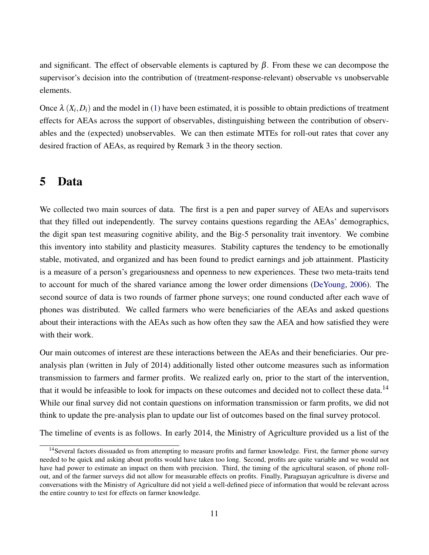and significant. The effect of observable elements is captured by  $\beta$ . From these we can decompose the supervisor's decision into the contribution of (treatment-response-relevant) observable vs unobservable elements.

Once  $\lambda$   $(X_i, D_i)$  and the model in [\(1\)](#page-10-0) have been estimated, it is possible to obtain predictions of treatment effects for AEAs across the support of observables, distinguishing between the contribution of observables and the (expected) unobservables. We can then estimate MTEs for roll-out rates that cover any desired fraction of AEAs, as required by Remark 3 in the theory section.

### 5 Data

We collected two main sources of data. The first is a pen and paper survey of AEAs and supervisors that they filled out independently. The survey contains questions regarding the AEAs' demographics, the digit span test measuring cognitive ability, and the Big-5 personality trait inventory. We combine this inventory into stability and plasticity measures. Stability captures the tendency to be emotionally stable, motivated, and organized and has been found to predict earnings and job attainment. Plasticity is a measure of a person's gregariousness and openness to new experiences. These two meta-traits tend to account for much of the shared variance among the lower order dimensions [\(DeYoung,](#page-22-9) [2006\)](#page-22-9). The second source of data is two rounds of farmer phone surveys; one round conducted after each wave of phones was distributed. We called farmers who were beneficiaries of the AEAs and asked questions about their interactions with the AEAs such as how often they saw the AEA and how satisfied they were with their work.

Our main outcomes of interest are these interactions between the AEAs and their beneficiaries. Our preanalysis plan (written in July of 2014) additionally listed other outcome measures such as information transmission to farmers and farmer profits. We realized early on, prior to the start of the intervention, that it would be infeasible to look for impacts on these outcomes and decided not to collect these data.<sup>14</sup> While our final survey did not contain questions on information transmission or farm profits, we did not think to update the pre-analysis plan to update our list of outcomes based on the final survey protocol.

The timeline of events is as follows. In early 2014, the Ministry of Agriculture provided us a list of the

<sup>&</sup>lt;sup>14</sup> Several factors dissuaded us from attempting to measure profits and farmer knowledge. First, the farmer phone survey needed to be quick and asking about profits would have taken too long. Second, profits are quite variable and we would not have had power to estimate an impact on them with precision. Third, the timing of the agricultural season, of phone rollout, and of the farmer surveys did not allow for measurable effects on profits. Finally, Paraguayan agriculture is diverse and conversations with the Ministry of Agriculture did not yield a well-defined piece of information that would be relevant across the entire country to test for effects on farmer knowledge.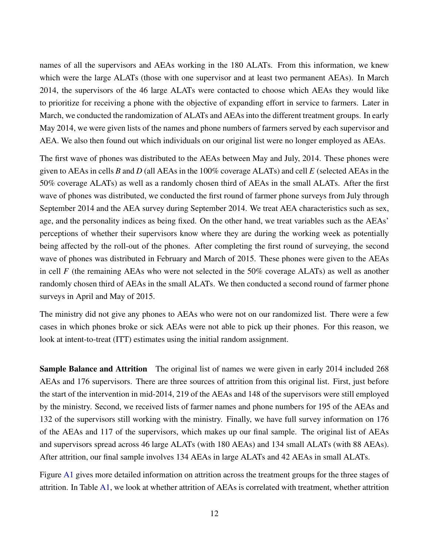names of all the supervisors and AEAs working in the 180 ALATs. From this information, we knew which were the large ALATs (those with one supervisor and at least two permanent AEAs). In March 2014, the supervisors of the 46 large ALATs were contacted to choose which AEAs they would like to prioritize for receiving a phone with the objective of expanding effort in service to farmers. Later in March, we conducted the randomization of ALATs and AEAs into the different treatment groups. In early May 2014, we were given lists of the names and phone numbers of farmers served by each supervisor and AEA. We also then found out which individuals on our original list were no longer employed as AEAs.

The first wave of phones was distributed to the AEAs between May and July, 2014. These phones were given to AEAs in cells *B* and *D* (all AEAs in the 100% coverage ALATs) and cell *E* (selected AEAs in the 50% coverage ALATs) as well as a randomly chosen third of AEAs in the small ALATs. After the first wave of phones was distributed, we conducted the first round of farmer phone surveys from July through September 2014 and the AEA survey during September 2014. We treat AEA characteristics such as sex, age, and the personality indices as being fixed. On the other hand, we treat variables such as the AEAs' perceptions of whether their supervisors know where they are during the working week as potentially being affected by the roll-out of the phones. After completing the first round of surveying, the second wave of phones was distributed in February and March of 2015. These phones were given to the AEAs in cell *F* (the remaining AEAs who were not selected in the 50% coverage ALATs) as well as another randomly chosen third of AEAs in the small ALATs. We then conducted a second round of farmer phone surveys in April and May of 2015.

The ministry did not give any phones to AEAs who were not on our randomized list. There were a few cases in which phones broke or sick AEAs were not able to pick up their phones. For this reason, we look at intent-to-treat (ITT) estimates using the initial random assignment.

Sample Balance and Attrition The original list of names we were given in early 2014 included 268 AEAs and 176 supervisors. There are three sources of attrition from this original list. First, just before the start of the intervention in mid-2014, 219 of the AEAs and 148 of the supervisors were still employed by the ministry. Second, we received lists of farmer names and phone numbers for 195 of the AEAs and 132 of the supervisors still working with the ministry. Finally, we have full survey information on 176 of the AEAs and 117 of the supervisors, which makes up our final sample. The original list of AEAs and supervisors spread across 46 large ALATs (with 180 AEAs) and 134 small ALATs (with 88 AEAs). After attrition, our final sample involves 134 AEAs in large ALATs and 42 AEAs in small ALATs.

Figure [A1](#page-31-0) gives more detailed information on attrition across the treatment groups for the three stages of attrition. In Table [A1,](#page-30-0) we look at whether attrition of AEAs is correlated with treatment, whether attrition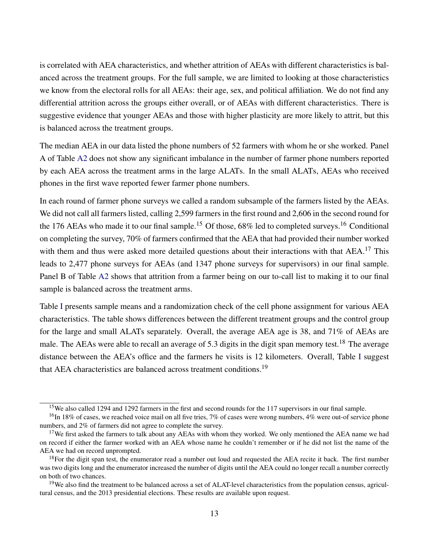is correlated with AEA characteristics, and whether attrition of AEAs with different characteristics is balanced across the treatment groups. For the full sample, we are limited to looking at those characteristics we know from the electoral rolls for all AEAs: their age, sex, and political affiliation. We do not find any differential attrition across the groups either overall, or of AEAs with different characteristics. There is suggestive evidence that younger AEAs and those with higher plasticity are more likely to attrit, but this is balanced across the treatment groups.

The median AEA in our data listed the phone numbers of 52 farmers with whom he or she worked. Panel A of Table [A2](#page-31-1) does not show any significant imbalance in the number of farmer phone numbers reported by each AEA across the treatment arms in the large ALATs. In the small ALATs, AEAs who received phones in the first wave reported fewer farmer phone numbers.

In each round of farmer phone surveys we called a random subsample of the farmers listed by the AEAs. We did not call all farmers listed, calling 2,599 farmers in the first round and 2,606 in the second round for the 176 AEAs who made it to our final sample.<sup>15</sup> Of those, 68% led to completed surveys.<sup>16</sup> Conditional on completing the survey, 70% of farmers confirmed that the AEA that had provided their number worked with them and thus were asked more detailed questions about their interactions with that AEA.<sup>17</sup> This leads to 2,477 phone surveys for AEAs (and 1347 phone surveys for supervisors) in our final sample. Panel B of Table [A2](#page-31-1) shows that attrition from a farmer being on our to-call list to making it to our final sample is balanced across the treatment arms.

Table [I](#page-26-0) presents sample means and a randomization check of the cell phone assignment for various AEA characteristics. The table shows differences between the different treatment groups and the control group for the large and small ALATs separately. Overall, the average AEA age is 38, and 71% of AEAs are male. The AEAs were able to recall an average of 5.3 digits in the digit span memory test.<sup>18</sup> The average distance between the AEA's office and the farmers he visits is 12 kilometers. Overall, Table [I](#page-26-0) suggest that AEA characteristics are balanced across treatment conditions.<sup>19</sup>

<sup>&</sup>lt;sup>15</sup>We also called 1294 and 1292 farmers in the first and second rounds for the 117 supervisors in our final sample.

 $16$ In 18% of cases, we reached voice mail on all five tries, 7% of cases were wrong numbers, 4% were out-of service phone numbers, and 2% of farmers did not agree to complete the survey.

<sup>&</sup>lt;sup>17</sup>We first asked the farmers to talk about any AEAs with whom they worked. We only mentioned the AEA name we had on record if either the farmer worked with an AEA whose name he couldn't remember or if he did not list the name of the AEA we had on record unprompted.

 $18$ For the digit span test, the enumerator read a number out loud and requested the AEA recite it back. The first number was two digits long and the enumerator increased the number of digits until the AEA could no longer recall a number correctly on both of two chances.

<sup>&</sup>lt;sup>19</sup>We also find the treatment to be balanced across a set of ALAT-level characteristics from the population census, agricultural census, and the 2013 presidential elections. These results are available upon request.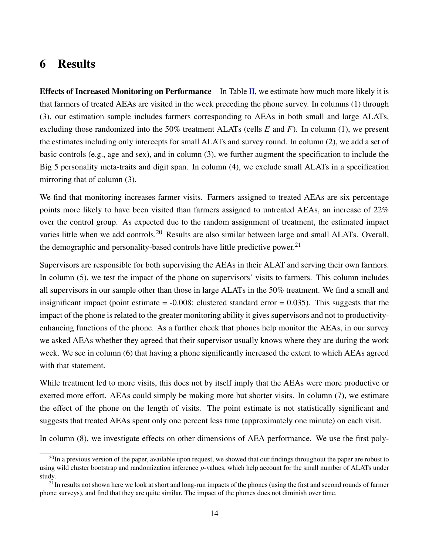# 6 Results

Effects of Increased Monitoring on Performance In Table [II,](#page-27-0) we estimate how much more likely it is that farmers of treated AEAs are visited in the week preceding the phone survey. In columns (1) through (3), our estimation sample includes farmers corresponding to AEAs in both small and large ALATs, excluding those randomized into the 50% treatment ALATs (cells *E* and *F*). In column (1), we present the estimates including only intercepts for small ALATs and survey round. In column (2), we add a set of basic controls (e.g., age and sex), and in column (3), we further augment the specification to include the Big 5 personality meta-traits and digit span. In column (4), we exclude small ALATs in a specification mirroring that of column (3).

We find that monitoring increases farmer visits. Farmers assigned to treated AEAs are six percentage points more likely to have been visited than farmers assigned to untreated AEAs, an increase of 22% over the control group. As expected due to the random assignment of treatment, the estimated impact varies little when we add controls.<sup>20</sup> Results are also similar between large and small ALATs. Overall, the demographic and personality-based controls have little predictive power.<sup>21</sup>

Supervisors are responsible for both supervising the AEAs in their ALAT and serving their own farmers. In column (5), we test the impact of the phone on supervisors' visits to farmers. This column includes all supervisors in our sample other than those in large ALATs in the 50% treatment. We find a small and insignificant impact (point estimate  $= -0.008$ ; clustered standard error  $= 0.035$ ). This suggests that the impact of the phone is related to the greater monitoring ability it gives supervisors and not to productivityenhancing functions of the phone. As a further check that phones help monitor the AEAs, in our survey we asked AEAs whether they agreed that their supervisor usually knows where they are during the work week. We see in column (6) that having a phone significantly increased the extent to which AEAs agreed with that statement.

While treatment led to more visits, this does not by itself imply that the AEAs were more productive or exerted more effort. AEAs could simply be making more but shorter visits. In column (7), we estimate the effect of the phone on the length of visits. The point estimate is not statistically significant and suggests that treated AEAs spent only one percent less time (approximately one minute) on each visit.

In column (8), we investigate effects on other dimensions of AEA performance. We use the first poly-

 $^{20}$ In a previous version of the paper, available upon request, we showed that our findings throughout the paper are robust to using wild cluster bootstrap and randomization inference *p*-values, which help account for the small number of ALATs under study.

 $21$ In results not shown here we look at short and long-run impacts of the phones (using the first and second rounds of farmer phone surveys), and find that they are quite similar. The impact of the phones does not diminish over time.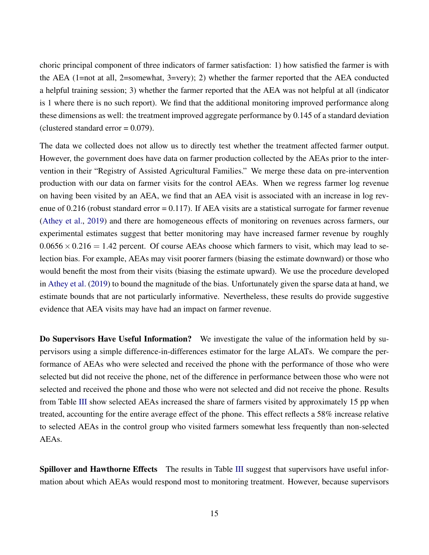choric principal component of three indicators of farmer satisfaction: 1) how satisfied the farmer is with the AEA (1=not at all, 2=somewhat, 3=very); 2) whether the farmer reported that the AEA conducted a helpful training session; 3) whether the farmer reported that the AEA was not helpful at all (indicator is 1 where there is no such report). We find that the additional monitoring improved performance along these dimensions as well: the treatment improved aggregate performance by 0.145 of a standard deviation (clustered standard error  $= 0.079$ ).

The data we collected does not allow us to directly test whether the treatment affected farmer output. However, the government does have data on farmer production collected by the AEAs prior to the intervention in their "Registry of Assisted Agricultural Families." We merge these data on pre-intervention production with our data on farmer visits for the control AEAs. When we regress farmer log revenue on having been visited by an AEA, we find that an AEA visit is associated with an increase in log revenue of 0.216 (robust standard error = 0.117). If AEA visits are a statistical surrogate for farmer revenue [\(Athey et al.,](#page-22-10) [2019\)](#page-22-10) and there are homogeneous effects of monitoring on revenues across farmers, our experimental estimates suggest that better monitoring may have increased farmer revenue by roughly  $0.0656 \times 0.216 = 1.42$  percent. Of course AEAs choose which farmers to visit, which may lead to selection bias. For example, AEAs may visit poorer farmers (biasing the estimate downward) or those who would benefit the most from their visits (biasing the estimate upward). We use the procedure developed in [Athey et al.](#page-22-10) [\(2019\)](#page-22-10) to bound the magnitude of the bias. Unfortunately given the sparse data at hand, we estimate bounds that are not particularly informative. Nevertheless, these results do provide suggestive evidence that AEA visits may have had an impact on farmer revenue.

Do Supervisors Have Useful Information? We investigate the value of the information held by supervisors using a simple difference-in-differences estimator for the large ALATs. We compare the performance of AEAs who were selected and received the phone with the performance of those who were selected but did not receive the phone, net of the difference in performance between those who were not selected and received the phone and those who were not selected and did not receive the phone. Results from Table [III](#page-28-0) show selected AEAs increased the share of farmers visited by approximately 15 pp when treated, accounting for the entire average effect of the phone. This effect reflects a 58% increase relative to selected AEAs in the control group who visited farmers somewhat less frequently than non-selected AEAs.

Spillover and Hawthorne Effects The results in Table [III](#page-28-0) suggest that supervisors have useful information about which AEAs would respond most to monitoring treatment. However, because supervisors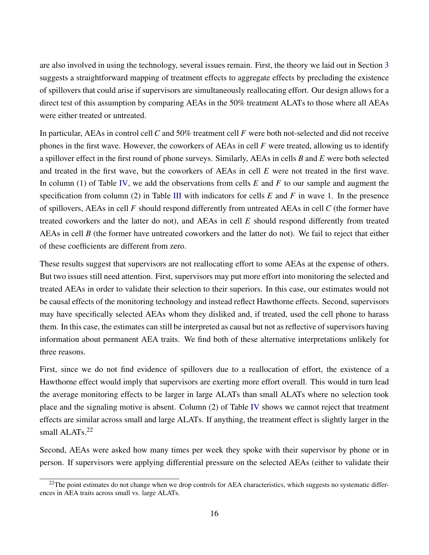are also involved in using the technology, several issues remain. First, the theory we laid out in Section [3](#page-5-0) suggests a straightforward mapping of treatment effects to aggregate effects by precluding the existence of spillovers that could arise if supervisors are simultaneously reallocating effort. Our design allows for a direct test of this assumption by comparing AEAs in the 50% treatment ALATs to those where all AEAs were either treated or untreated.

In particular, AEAs in control cell *C* and 50% treatment cell *F* were both not-selected and did not receive phones in the first wave. However, the coworkers of AEAs in cell *F* were treated, allowing us to identify a spillover effect in the first round of phone surveys. Similarly, AEAs in cells *B* and *E* were both selected and treated in the first wave, but the coworkers of AEAs in cell *E* were not treated in the first wave. In column (1) of Table [IV,](#page-28-1) we add the observations from cells *E* and *F* to our sample and augment the specification from column (2) in Table [III](#page-28-0) with indicators for cells *E* and *F* in wave 1. In the presence of spillovers, AEAs in cell *F* should respond differently from untreated AEAs in cell *C* (the former have treated coworkers and the latter do not), and AEAs in cell *E* should respond differently from treated AEAs in cell *B* (the former have untreated coworkers and the latter do not). We fail to reject that either of these coefficients are different from zero.

These results suggest that supervisors are not reallocating effort to some AEAs at the expense of others. But two issues still need attention. First, supervisors may put more effort into monitoring the selected and treated AEAs in order to validate their selection to their superiors. In this case, our estimates would not be causal effects of the monitoring technology and instead reflect Hawthorne effects. Second, supervisors may have specifically selected AEAs whom they disliked and, if treated, used the cell phone to harass them. In this case, the estimates can still be interpreted as causal but not as reflective of supervisors having information about permanent AEA traits. We find both of these alternative interpretations unlikely for three reasons.

First, since we do not find evidence of spillovers due to a reallocation of effort, the existence of a Hawthorne effect would imply that supervisors are exerting more effort overall. This would in turn lead the average monitoring effects to be larger in large ALATs than small ALATs where no selection took place and the signaling motive is absent. Column (2) of Table [IV](#page-28-1) shows we cannot reject that treatment effects are similar across small and large ALATs. If anything, the treatment effect is slightly larger in the small ALATs.<sup>22</sup>

Second, AEAs were asked how many times per week they spoke with their supervisor by phone or in person. If supervisors were applying differential pressure on the selected AEAs (either to validate their

<sup>&</sup>lt;sup>22</sup>The point estimates do not change when we drop controls for AEA characteristics, which suggests no systematic differences in AEA traits across small vs. large ALATs.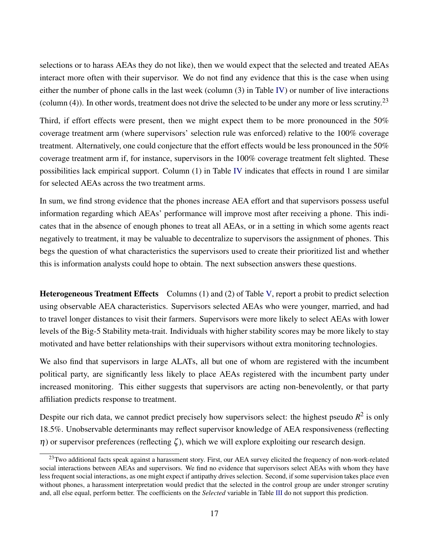selections or to harass AEAs they do not like), then we would expect that the selected and treated AEAs interact more often with their supervisor. We do not find any evidence that this is the case when using either the number of phone calls in the last week (column (3) in Table [IV\)](#page-28-1) or number of live interactions (column (4)). In other words, treatment does not drive the selected to be under any more or less scrutiny.<sup>23</sup>

Third, if effort effects were present, then we might expect them to be more pronounced in the 50% coverage treatment arm (where supervisors' selection rule was enforced) relative to the 100% coverage treatment. Alternatively, one could conjecture that the effort effects would be less pronounced in the 50% coverage treatment arm if, for instance, supervisors in the 100% coverage treatment felt slighted. These possibilities lack empirical support. Column (1) in Table [IV](#page-28-1) indicates that effects in round 1 are similar for selected AEAs across the two treatment arms.

In sum, we find strong evidence that the phones increase AEA effort and that supervisors possess useful information regarding which AEAs' performance will improve most after receiving a phone. This indicates that in the absence of enough phones to treat all AEAs, or in a setting in which some agents react negatively to treatment, it may be valuable to decentralize to supervisors the assignment of phones. This begs the question of what characteristics the supervisors used to create their prioritized list and whether this is information analysts could hope to obtain. The next subsection answers these questions.

Heterogeneous Treatment Effects Columns (1) and (2) of Table [V,](#page-29-0) report a probit to predict selection using observable AEA characteristics. Supervisors selected AEAs who were younger, married, and had to travel longer distances to visit their farmers. Supervisors were more likely to select AEAs with lower levels of the Big-5 Stability meta-trait. Individuals with higher stability scores may be more likely to stay motivated and have better relationships with their supervisors without extra monitoring technologies.

We also find that supervisors in large ALATs, all but one of whom are registered with the incumbent political party, are significantly less likely to place AEAs registered with the incumbent party under increased monitoring. This either suggests that supervisors are acting non-benevolently, or that party affiliation predicts response to treatment.

Despite our rich data, we cannot predict precisely how supervisors select: the highest pseudo  $R^2$  is only 18.5%. Unobservable determinants may reflect supervisor knowledge of AEA responsiveness (reflecting  $η$ ) or supervisor preferences (reflecting ζ), which we will explore exploiting our research design.

 $^{23}$ Two additional facts speak against a harassment story. First, our AEA survey elicited the frequency of non-work-related social interactions between AEAs and supervisors. We find no evidence that supervisors select AEAs with whom they have less frequent social interactions, as one might expect if antipathy drives selection. Second, if some supervision takes place even without phones, a harassment interpretation would predict that the selected in the control group are under stronger scrutiny and, all else equal, perform better. The coefficients on the *Selected* variable in Table [III](#page-28-0) do not support this prediction.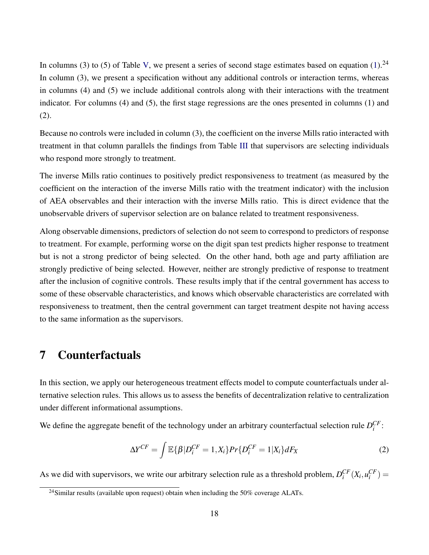In columns (3) to (5) of Table [V,](#page-29-0) we present a series of second stage estimates based on equation [\(1\)](#page-10-0).<sup>24</sup> In column (3), we present a specification without any additional controls or interaction terms, whereas in columns (4) and (5) we include additional controls along with their interactions with the treatment indicator. For columns (4) and (5), the first stage regressions are the ones presented in columns (1) and (2).

Because no controls were included in column (3), the coefficient on the inverse Mills ratio interacted with treatment in that column parallels the findings from Table [III](#page-28-0) that supervisors are selecting individuals who respond more strongly to treatment.

The inverse Mills ratio continues to positively predict responsiveness to treatment (as measured by the coefficient on the interaction of the inverse Mills ratio with the treatment indicator) with the inclusion of AEA observables and their interaction with the inverse Mills ratio. This is direct evidence that the unobservable drivers of supervisor selection are on balance related to treatment responsiveness.

Along observable dimensions, predictors of selection do not seem to correspond to predictors of response to treatment. For example, performing worse on the digit span test predicts higher response to treatment but is not a strong predictor of being selected. On the other hand, both age and party affiliation are strongly predictive of being selected. However, neither are strongly predictive of response to treatment after the inclusion of cognitive controls. These results imply that if the central government has access to some of these observable characteristics, and knows which observable characteristics are correlated with responsiveness to treatment, then the central government can target treatment despite not having access to the same information as the supervisors.

# 7 Counterfactuals

In this section, we apply our heterogeneous treatment effects model to compute counterfactuals under alternative selection rules. This allows us to assess the benefits of decentralization relative to centralization under different informational assumptions.

We define the aggregate benefit of the technology under an arbitrary counterfactual selection rule  $D_i^{CF}$ :

<span id="page-18-0"></span>
$$
\Delta Y^{CF} = \int \mathbb{E}\{\beta|D_i^{CF} = 1, X_i\} Pr\{D_i^{CF} = 1|X_i\} dF_X
$$
\n(2)

As we did with supervisors, we write our arbitrary selection rule as a threshold problem,  $D_i^{CF}(X_i, u_i^{CF}) =$ 

<sup>&</sup>lt;sup>24</sup>Similar results (available upon request) obtain when including the 50% coverage ALATs.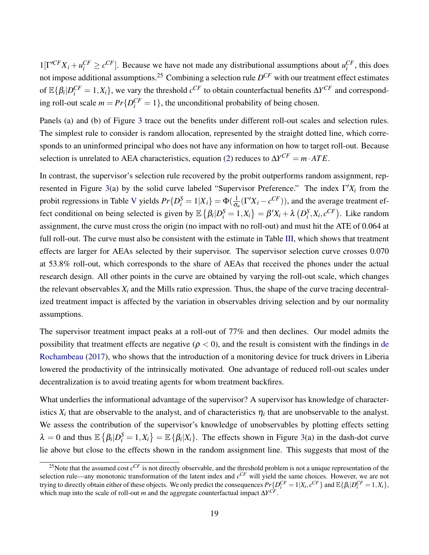$1[\Gamma^{\prime CF}X_i + u_i^{CF} \ge c^{CF}]$ . Because we have not made any distributional assumptions about  $u_i^{CF}$ , this does not impose additional assumptions.<sup>25</sup> Combining a selection rule *D CF* with our treatment effect estimates of  $\mathbb{E} \{\beta_i | D_i^{CF} = 1, X_i\}$ , we vary the threshold  $c^{CF}$  to obtain counterfactual benefits  $\Delta Y^{CF}$  and corresponding roll-out scale  $m = Pr\{D_i^{CF} = 1\}$ , the unconditional probability of being chosen.

Panels (a) and (b) of Figure [3](#page-25-0) trace out the benefits under different roll-out scales and selection rules. The simplest rule to consider is random allocation, represented by the straight dotted line, which corresponds to an uninformed principal who does not have any information on how to target roll-out. Because selection is unrelated to AEA characteristics, equation [\(2\)](#page-18-0) reduces to  $\Delta Y^{CF} = m \cdot ATE$ .

In contrast, the supervisor's selection rule recovered by the probit outperforms random assignment, rep-resented in Figure [3\(](#page-25-0)a) by the solid curve labeled "Supervisor Preference." The index  $\Gamma' X_i$  from the probit regressions in Table [V](#page-29-0) yields  $Pr\{D_i^S = 1 | X_i\} = \Phi(\frac{1}{\sigma_i})$  $\frac{1}{\sigma_u}(\Gamma'X_i - c^{CF})$ ), and the average treatment effect conditional on being selected is given by  $\mathbb{E} \left\{ \beta_i | D_i^S = 1, X_i \right\} = \beta' X_i + \lambda \left( D_i^S, X_i, c^{CF} \right)$ . Like random assignment, the curve must cross the origin (no impact with no roll-out) and must hit the ATE of 0.064 at full roll-out. The curve must also be consistent with the estimate in Table [III,](#page-28-0) which shows that treatment effects are larger for AEAs selected by their supervisor. The supervisor selection curve crosses 0.070 at 53.8% roll-out, which corresponds to the share of AEAs that received the phones under the actual research design. All other points in the curve are obtained by varying the roll-out scale, which changes the relevant observables  $X_i$  and the Mills ratio expression. Thus, the shape of the curve tracing decentralized treatment impact is affected by the variation in observables driving selection and by our normality assumptions.

The supervisor treatment impact peaks at a roll-out of 77% and then declines. Our model admits the possibility that treatment effects are negative ( $\rho < 0$ ), and the result is consistent with the findings in [de](#page-22-8) [Rochambeau](#page-22-8) [\(2017\)](#page-22-8), who shows that the introduction of a monitoring device for truck drivers in Liberia lowered the productivity of the intrinsically motivated. One advantage of reduced roll-out scales under decentralization is to avoid treating agents for whom treatment backfires.

What underlies the informational advantage of the supervisor? A supervisor has knowledge of characteristics  $X_i$  that are observable to the analyst, and of characteristics  $\eta_i$  that are unobservable to the analyst. We assess the contribution of the supervisor's knowledge of unobservables by plotting effects setting  $\lambda = 0$  and thus  $\mathbb{E} \left\{ \beta_i | D_i^S = 1, X_i \right\} = \mathbb{E} \left\{ \beta_i | X_i \right\}$ . The effects shown in Figure [3\(](#page-25-0)a) in the dash-dot curve lie above but close to the effects shown in the random assignment line. This suggests that most of the

<sup>&</sup>lt;sup>25</sup>Note that the assumed cost  $c^{CF}$  is not directly observable, and the threshold problem is not a unique representation of the selection rule—any monotonic transformation of the latent index and *c CF* will yield the same choices. However, we are not trying to directly obtain either of these objects. We only predict the consequences  $Pr\{D_i^{CF} = 1 | X_i, c^{CF}\}\$  and  $\mathbb{E}\{\beta_i | D_i^{CF} = 1, X_i\}$ , which map into the scale of roll-out *m* and the aggregate counterfactual impact ∆*Y CF* .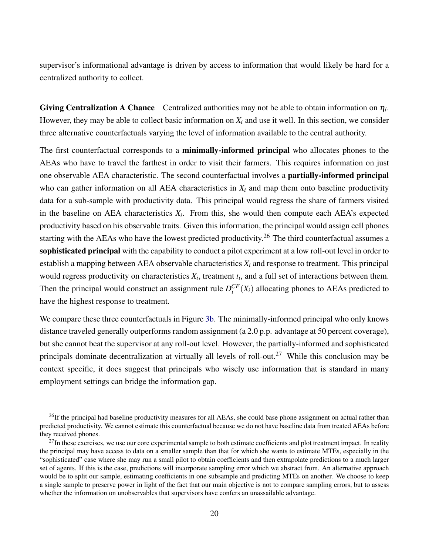supervisor's informational advantage is driven by access to information that would likely be hard for a centralized authority to collect.

**Giving Centralization A Chance** Centralized authorities may not be able to obtain information on  $\eta_i$ . However, they may be able to collect basic information on *X<sup>i</sup>* and use it well. In this section, we consider three alternative counterfactuals varying the level of information available to the central authority.

The first counterfactual corresponds to a minimally-informed principal who allocates phones to the AEAs who have to travel the farthest in order to visit their farmers. This requires information on just one observable AEA characteristic. The second counterfactual involves a partially-informed principal who can gather information on all AEA characteristics in  $X_i$  and map them onto baseline productivity data for a sub-sample with productivity data. This principal would regress the share of farmers visited in the baseline on AEA characteristics  $X_i$ . From this, she would then compute each AEA's expected productivity based on his observable traits. Given this information, the principal would assign cell phones starting with the AEAs who have the lowest predicted productivity.<sup>26</sup> The third counterfactual assumes a sophisticated principal with the capability to conduct a pilot experiment at a low roll-out level in order to establish a mapping between AEA observable characteristics  $X_i$  and response to treatment. This principal would regress productivity on characteristics  $X_i$ , treatment  $t_i$ , and a full set of interactions between them. Then the principal would construct an assignment rule  $D_i^{CF}(X_i)$  allocating phones to AEAs predicted to have the highest response to treatment.

We compare these three counterfactuals in Figure [3b.](#page-25-0) The minimally-informed principal who only knows distance traveled generally outperforms random assignment (a 2.0 p.p. advantage at 50 percent coverage), but she cannot beat the supervisor at any roll-out level. However, the partially-informed and sophisticated principals dominate decentralization at virtually all levels of roll-out.<sup>27</sup> While this conclusion may be context specific, it does suggest that principals who wisely use information that is standard in many employment settings can bridge the information gap.

 $^{26}$ If the principal had baseline productivity measures for all AEAs, she could base phone assignment on actual rather than predicted productivity. We cannot estimate this counterfactual because we do not have baseline data from treated AEAs before they received phones.

 $27$ In these exercises, we use our core experimental sample to both estimate coefficients and plot treatment impact. In reality the principal may have access to data on a smaller sample than that for which she wants to estimate MTEs, especially in the "sophisticated" case where she may run a small pilot to obtain coefficients and then extrapolate predictions to a much larger set of agents. If this is the case, predictions will incorporate sampling error which we abstract from. An alternative approach would be to split our sample, estimating coefficients in one subsample and predicting MTEs on another. We choose to keep a single sample to preserve power in light of the fact that our main objective is not to compare sampling errors, but to assess whether the information on unobservables that supervisors have confers an unassailable advantage.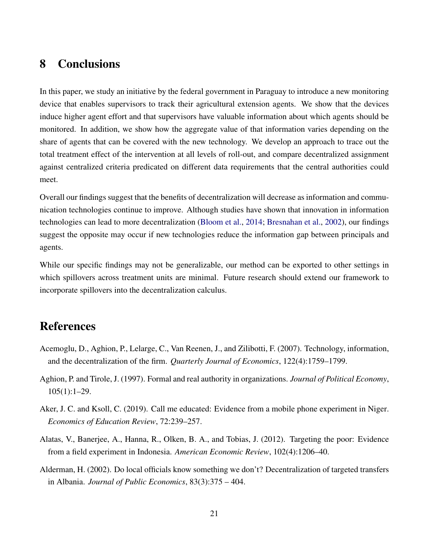# 8 Conclusions

In this paper, we study an initiative by the federal government in Paraguay to introduce a new monitoring device that enables supervisors to track their agricultural extension agents. We show that the devices induce higher agent effort and that supervisors have valuable information about which agents should be monitored. In addition, we show how the aggregate value of that information varies depending on the share of agents that can be covered with the new technology. We develop an approach to trace out the total treatment effect of the intervention at all levels of roll-out, and compare decentralized assignment against centralized criteria predicated on different data requirements that the central authorities could meet.

Overall our findings suggest that the benefits of decentralization will decrease as information and communication technologies continue to improve. Although studies have shown that innovation in information technologies can lead to more decentralization [\(Bloom et al.,](#page-22-11) [2014;](#page-22-11) [Bresnahan et al.,](#page-22-12) [2002\)](#page-22-12), our findings suggest the opposite may occur if new technologies reduce the information gap between principals and agents.

While our specific findings may not be generalizable, our method can be exported to other settings in which spillovers across treatment units are minimal. Future research should extend our framework to incorporate spillovers into the decentralization calculus.

# References

- <span id="page-21-0"></span>Acemoglu, D., Aghion, P., Lelarge, C., Van Reenen, J., and Zilibotti, F. (2007). Technology, information, and the decentralization of the firm. *Quarterly Journal of Economics*, 122(4):1759–1799.
- <span id="page-21-1"></span>Aghion, P. and Tirole, J. (1997). Formal and real authority in organizations. *Journal of Political Economy*, 105(1):1–29.
- <span id="page-21-4"></span>Aker, J. C. and Ksoll, C. (2019). Call me educated: Evidence from a mobile phone experiment in Niger. *Economics of Education Review*, 72:239–257.
- <span id="page-21-2"></span>Alatas, V., Banerjee, A., Hanna, R., Olken, B. A., and Tobias, J. (2012). Targeting the poor: Evidence from a field experiment in Indonesia. *American Economic Review*, 102(4):1206–40.
- <span id="page-21-3"></span>Alderman, H. (2002). Do local officials know something we don't? Decentralization of targeted transfers in Albania. *Journal of Public Economics*, 83(3):375 – 404.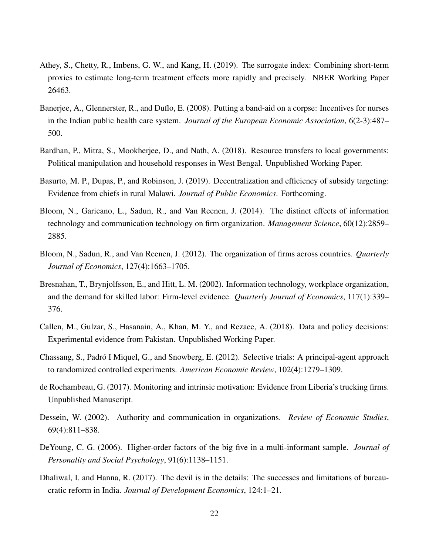- <span id="page-22-10"></span>Athey, S., Chetty, R., Imbens, G. W., and Kang, H. (2019). The surrogate index: Combining short-term proxies to estimate long-term treatment effects more rapidly and precisely. NBER Working Paper 26463.
- <span id="page-22-6"></span>Banerjee, A., Glennerster, R., and Duflo, E. (2008). Putting a band-aid on a corpse: Incentives for nurses in the Indian public health care system. *Journal of the European Economic Association*, 6(2-3):487– 500.
- <span id="page-22-2"></span>Bardhan, P., Mitra, S., Mookherjee, D., and Nath, A. (2018). Resource transfers to local governments: Political manipulation and household responses in West Bengal. Unpublished Working Paper.
- <span id="page-22-3"></span>Basurto, M. P., Dupas, P., and Robinson, J. (2019). Decentralization and efficiency of subsidy targeting: Evidence from chiefs in rural Malawi. *Journal of Public Economics*. Forthcoming.
- <span id="page-22-11"></span>Bloom, N., Garicano, L., Sadun, R., and Van Reenen, J. (2014). The distinct effects of information technology and communication technology on firm organization. *Management Science*, 60(12):2859– 2885.
- <span id="page-22-0"></span>Bloom, N., Sadun, R., and Van Reenen, J. (2012). The organization of firms across countries. *Quarterly Journal of Economics*, 127(4):1663–1705.
- <span id="page-22-12"></span>Bresnahan, T., Brynjolfsson, E., and Hitt, L. M. (2002). Information technology, workplace organization, and the demand for skilled labor: Firm-level evidence. *Quarterly Journal of Economics*, 117(1):339– 376.
- <span id="page-22-5"></span>Callen, M., Gulzar, S., Hasanain, A., Khan, M. Y., and Rezaee, A. (2018). Data and policy decisions: Experimental evidence from Pakistan. Unpublished Working Paper.
- <span id="page-22-4"></span>Chassang, S., Padró I Miquel, G., and Snowberg, E. (2012). Selective trials: A principal-agent approach to randomized controlled experiments. *American Economic Review*, 102(4):1279–1309.
- <span id="page-22-8"></span>de Rochambeau, G. (2017). Monitoring and intrinsic motivation: Evidence from Liberia's trucking firms. Unpublished Manuscript.
- <span id="page-22-1"></span>Dessein, W. (2002). Authority and communication in organizations. *Review of Economic Studies*, 69(4):811–838.
- <span id="page-22-9"></span>DeYoung, C. G. (2006). Higher-order factors of the big five in a multi-informant sample. *Journal of Personality and Social Psychology*, 91(6):1138–1151.
- <span id="page-22-7"></span>Dhaliwal, I. and Hanna, R. (2017). The devil is in the details: The successes and limitations of bureaucratic reform in India. *Journal of Development Economics*, 124:1–21.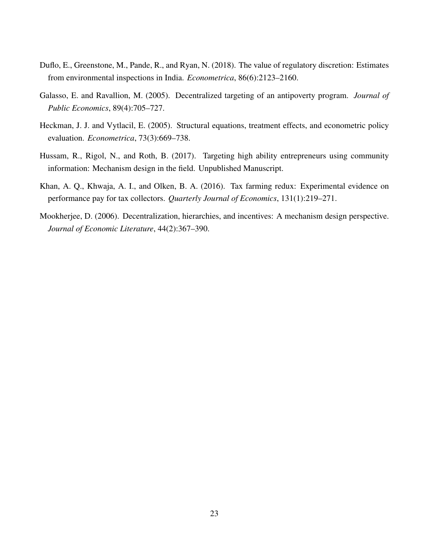- <span id="page-23-1"></span>Duflo, E., Greenstone, M., Pande, R., and Ryan, N. (2018). The value of regulatory discretion: Estimates from environmental inspections in India. *Econometrica*, 86(6):2123–2160.
- <span id="page-23-2"></span>Galasso, E. and Ravallion, M. (2005). Decentralized targeting of an antipoverty program. *Journal of Public Economics*, 89(4):705–727.
- <span id="page-23-4"></span>Heckman, J. J. and Vytlacil, E. (2005). Structural equations, treatment effects, and econometric policy evaluation. *Econometrica*, 73(3):669–738.
- <span id="page-23-3"></span>Hussam, R., Rigol, N., and Roth, B. (2017). Targeting high ability entrepreneurs using community information: Mechanism design in the field. Unpublished Manuscript.
- <span id="page-23-5"></span>Khan, A. Q., Khwaja, A. I., and Olken, B. A. (2016). Tax farming redux: Experimental evidence on performance pay for tax collectors. *Quarterly Journal of Economics*, 131(1):219–271.
- <span id="page-23-0"></span>Mookherjee, D. (2006). Decentralization, hierarchies, and incentives: A mechanism design perspective. *Journal of Economic Literature*, 44(2):367–390.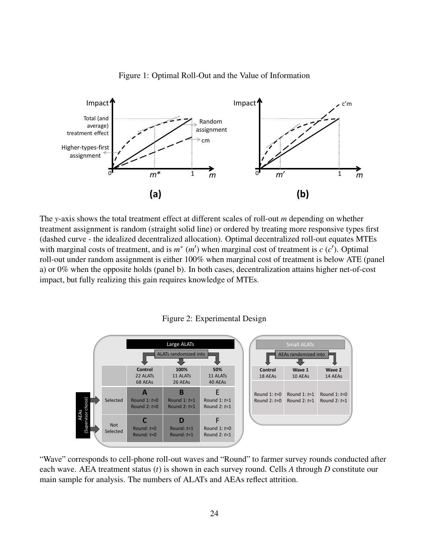<span id="page-24-0"></span>

Figure 1: Optimal Roll-Out and the Value of Information

The *y*-axis shows the total treatment effect at different scales of roll-out *m* depending on whether treatment assignment is random (straight solid line) or ordered by treating more responsive types first (dashed curve - the idealized decentralized allocation). Optimal decentralized roll-out equates MTEs with marginal costs of treatment, and is  $m^*$  ( $m'$ ) when marginal cost of treatment is  $c$  ( $c'$ ). Optimal roll-out under random assignment is either 100% when marginal cost of treatment is below ATE (panel a) or 0% when the opposite holds (panel b). In both cases, decentralization attains higher net-of-cost impact, but fully realizing this gain requires knowledge of MTEs.



<span id="page-24-1"></span>

"Wave" corresponds to cell-phone roll-out waves and "Round" to farmer survey rounds conducted after each wave. AEA treatment status (*t*) is shown in each survey round. Cells *A* through *D* constitute our main sample for analysis. The numbers of ALATs and AEAs reflect attrition.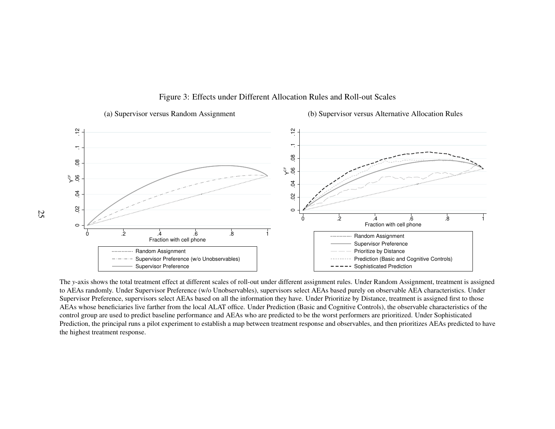

#### Figure 3: Effects under Different Allocation Rules and Roll-out Scales

<span id="page-25-0"></span>The *<sup>y</sup>*-axis shows the total treatment effect at different scales of roll-out under different assignment rules. Under Random Assignment, treatment is assignedto AEAs randomly. Under Supervisor Preference (w/o Unobservables), supervisors select AEAs based purely on observable AEA characteristics. Under Supervisor Preference, supervisors select AEAs based on all the information they have. Under Prioritize by Distance, treatment is assigned first to those AEAs whose beneficiaries live farther from the local ALAT office. Under Prediction (Basic and Cognitive Controls), the observable characteristics of thecontrol group are used to predict baseline performance and AEAs who are predicted to be the worst performers are prioritized. Under Sophisticated Prediction, the principal runs <sup>a</sup> pilot experiment to establish <sup>a</sup> map between treatment response and observables, and then prioritizes AEAs predicted to havethe highest treatment response.

25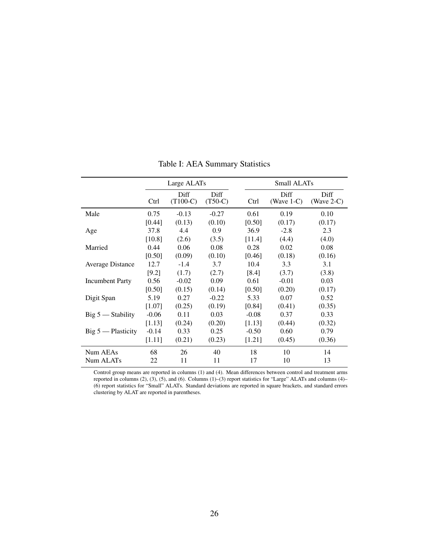<span id="page-26-0"></span>

|                         |         | Large ALATs        |                   |         | Small ALATs           |                       |  |  |  |
|-------------------------|---------|--------------------|-------------------|---------|-----------------------|-----------------------|--|--|--|
|                         | Ctrl    | Diff<br>$(T100-C)$ | Diff<br>$(T50-C)$ | Ctrl    | Diff<br>(Wave $1-C$ ) | Diff<br>(Wave $2-C$ ) |  |  |  |
| Male                    | 0.75    | $-0.13$            | $-0.27$           | 0.61    | 0.19                  | 0.10                  |  |  |  |
|                         | [0.44]  | (0.13)             | (0.10)            | [0.50]  | (0.17)                | (0.17)                |  |  |  |
| Age                     | 37.8    | 4.4                | 0.9               | 36.9    | $-2.8$                | 2.3                   |  |  |  |
|                         | [10.8]  | (2.6)              | (3.5)             | [11.4]  | (4.4)                 | (4.0)                 |  |  |  |
| Married                 | 0.44    | 0.06               | 0.08              | 0.28    | 0.02                  | 0.08                  |  |  |  |
|                         | [0.50]  | (0.09)             | (0.10)            | [0.46]  | (0.18)                | (0.16)                |  |  |  |
| <b>Average Distance</b> | 12.7    | $-1.4$             | 3.7               | 10.4    | 3.3                   | 3.1                   |  |  |  |
|                         | [9.2]   | (1.7)              | (2.7)             | [8.4]   | (3.7)                 | (3.8)                 |  |  |  |
| <b>Incumbent Party</b>  | 0.56    | $-0.02$            | 0.09              | 0.61    | $-0.01$               | 0.03                  |  |  |  |
|                         | [0.50]  | (0.15)             | (0.14)            | [0.50]  | (0.20)                | (0.17)                |  |  |  |
| Digit Span              | 5.19    | 0.27               | $-0.22$           | 5.33    | 0.07                  | 0.52                  |  |  |  |
|                         | [1.07]  | (0.25)             | (0.19)            | [0.84]  | (0.41)                | (0.35)                |  |  |  |
| $Big 5 -$ Stability     | $-0.06$ | 0.11               | 0.03              | $-0.08$ | 0.37                  | 0.33                  |  |  |  |
|                         | [1.13]  | (0.24)             | (0.20)            | [1.13]  | (0.44)                | (0.32)                |  |  |  |
| $Big 5$ — Plasticity    | $-0.14$ | 0.33               | 0.25              | $-0.50$ | 0.60                  | 0.79                  |  |  |  |
|                         | [1.11]  | (0.21)             | (0.23)            | [1.21]  | (0.45)                | (0.36)                |  |  |  |
| Num AEAs                | 68      | 26                 | 40                | 18      | 10                    | 14                    |  |  |  |
| Num ALAT <sub>s</sub>   | 22      | 11                 | 11                | 17      | 10                    | 13                    |  |  |  |

Table I: AEA Summary Statistics

Control group means are reported in columns (1) and (4). Mean differences between control and treatment arms reported in columns (2), (3), (5), and (6). Columns (1)–(3) report statistics for "Large" ALATs and columns (4)– (6) report statistics for "Small" ALATs. Standard deviations are reported in square brackets, and standard errors clustering by ALAT are reported in parentheses.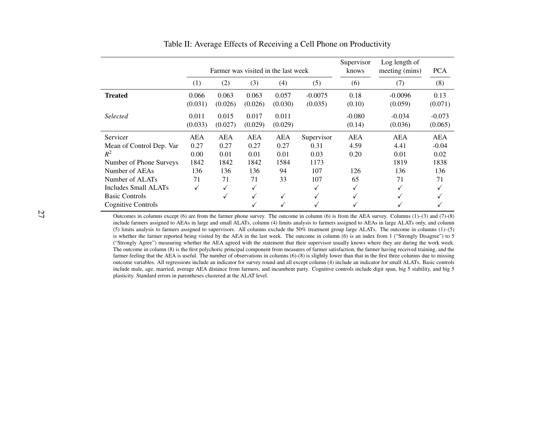|                                                                                                               |                                   |                             |                             | Farmer was visited in the last week |                              | Supervisor<br>knows        | Log length of<br>meeting (mins) | <b>PCA</b>                    |
|---------------------------------------------------------------------------------------------------------------|-----------------------------------|-----------------------------|-----------------------------|-------------------------------------|------------------------------|----------------------------|---------------------------------|-------------------------------|
|                                                                                                               | (1)                               | (2)                         | (3)                         | (4)                                 | (5)                          | (6)                        | (7)                             | (8)                           |
| <b>Treated</b>                                                                                                | 0.066<br>(0.031)                  | 0.063<br>(0.026)            | 0.063<br>(0.026)            | 0.057<br>(0.030)                    | $-0.0075$<br>(0.035)         | 0.18<br>(0.10)             | $-0.0096$<br>(0.059)            | 0.13<br>(0.071)               |
| <b>Selected</b>                                                                                               | 0.011<br>(0.033)                  | 0.015<br>(0.027)            | 0.017<br>(0.029)            | 0.011<br>(0.029)                    |                              | $-0.080$<br>(0.14)         | $-0.034$<br>(0.036)             | $-0.073$<br>(0.065)           |
| Servicer<br>Mean of Control Dep. Var<br>$R^2$                                                                 | <b>AEA</b><br>0.27<br>0.00        | <b>AEA</b><br>0.27<br>0.01  | <b>AEA</b><br>0.27<br>0.01  | <b>AEA</b><br>0.27<br>0.01          | Supervisor<br>0.31<br>0.03   | <b>AEA</b><br>4.59<br>0.20 | <b>AEA</b><br>4.41<br>0.01      | <b>AEA</b><br>$-0.04$<br>0.02 |
| Number of Phone Surveys<br>Number of AEAs<br>Number of ALATs<br>Includes Small ALATs<br><b>Basic Controls</b> | 1842<br>136<br>71<br>$\checkmark$ | 1842<br>136<br>71<br>✓<br>√ | 1842<br>136<br>71<br>✓<br>√ | 1584<br>94<br>33<br>✓               | 1173<br>107<br>107<br>✓<br>✓ | 126<br>65<br>✓<br>√        | 1819<br>136<br>71<br>✓<br>√     | 1838<br>136<br>71             |
| Cognitive Controls                                                                                            |                                   |                             |                             |                                     | √                            |                            | √                               |                               |

Table II: Average Effects of Receiving <sup>a</sup> Cell Phone on Productivity

<span id="page-27-0"></span> Outcomes in columns excep<sup>t</sup> (6) are from the farmer phone survey. The outcome in column (6) is from the AEA survey. Columns (1)–(3) and (7)-(8) include farmers assigned to AEAs in large and small ALATs, column (4) limits analysis to farmers assigned to AEAs in large ALATs only, and column (5) limits analysis to farmers assigned to supervisors. All columns exclude the 50% treatment group large ALATs. The outcome in columns (1)–(5) is whether the farmer reported being visited by the AEA in the last week. The outcome in column (6) is an index from 1 ("Strongly Disagree") to 5 ("Strongly Agree") measuring whether the AEA agreed with the statement that their supervisor usually knows where they are during the work week. The outcome in column (8) is the first polychoric principal componen<sup>t</sup> from measures of farmer satisfaction, the farmer having received training, and the farmer feeling that the AEA is useful. The number of observations in columns (6)-(8) is slightly lower than that in the first three columns due to missing outcome variables. All regressions include an indicator for survey round and all excep<sup>t</sup> column (4) include an indicator for small ALATs. Basic controls include male, age, married, average AEA distance from farmers, and incumbent party. Cognitive controls include digit span, big 5 stability, and big 5plasticity. Standard errors in parentheses clustered at the ALAT level.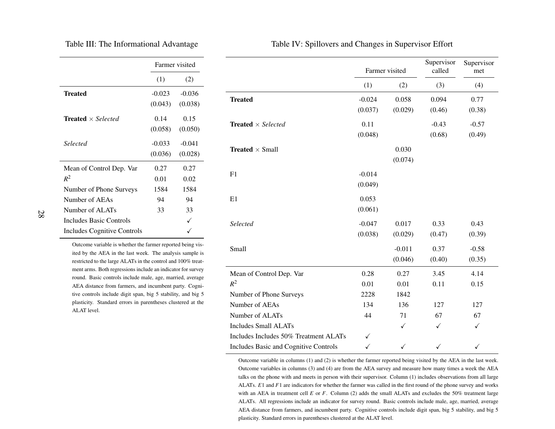|                                         |          | Farmer visited |
|-----------------------------------------|----------|----------------|
|                                         | (1)      | (2)            |
| <b>Treated</b>                          | $-0.023$ | $-0.036$       |
|                                         | (0.043)  | (0.038)        |
| <b>Treated</b> $\times$ <i>Selected</i> | 0.14     | 0.15           |
|                                         | (0.058)  | (0.050)        |
| Selected                                | $-0.033$ | $-0.041$       |
|                                         | (0.036)  | (0.028)        |
| Mean of Control Dep. Var                | 0.27     | 0.27           |
| $R^2$                                   | 0.01     | 0.02           |
| Number of Phone Surveys                 | 1584     | 1584           |
| Number of AEAs                          | 94       | 94             |
| Number of ALATs                         | 33       | 33             |
| Includes Basic Controls                 |          |                |
| <b>Includes Cognitive Controls</b>      |          |                |

<span id="page-28-1"></span>Table III: The Informational Advantage

Table IV: Spillovers and Changes in Supervisor Effort

|                                         |          | Farmer visited | Supervisor<br>called | Supervisor<br>met |
|-----------------------------------------|----------|----------------|----------------------|-------------------|
|                                         | (1)      | (2)            | (3)                  | (4)               |
| <b>Treated</b>                          | $-0.024$ | 0.058          | 0.094                | 0.77              |
|                                         | (0.037)  | (0.029)        | (0.46)               | (0.38)            |
| <b>Treated</b> $\times$ <i>Selected</i> | 0.11     |                | $-0.43$              | $-0.57$           |
|                                         | (0.048)  |                | (0.68)               | (0.49)            |
| <b>Treated</b> $\times$ Small           |          | 0.030          |                      |                   |
|                                         |          | (0.074)        |                      |                   |
| F1                                      | $-0.014$ |                |                      |                   |
|                                         | (0.049)  |                |                      |                   |
| E1                                      | 0.053    |                |                      |                   |
|                                         | (0.061)  |                |                      |                   |
| Selected                                | $-0.047$ | 0.017          | 0.33                 | 0.43              |
|                                         | (0.038)  | (0.029)        | (0.47)               | (0.39)            |
| Small                                   |          | $-0.011$       | 0.37                 | $-0.58$           |
|                                         |          | (0.046)        | (0.40)               | (0.35)            |
| Mean of Control Dep. Var                | 0.28     | 0.27           | 3.45                 | 4.14              |
| $R^2$                                   | 0.01     | 0.01           | 0.11                 | 0.15              |
| Number of Phone Surveys                 | 2228     | 1842           |                      |                   |
| Number of AEAs                          | 134      | 136            | 127                  | 127               |
| Number of ALATs                         | 44       | 71             | 67                   | 67                |
| <b>Includes Small ALATs</b>             |          | $\checkmark$   | $\checkmark$         | $\checkmark$      |
| Includes Includes 50% Treatment ALATs   | ✓        |                |                      |                   |
| Includes Basic and Cognitive Controls   | ✓        | ✓              | ✓                    | ✓                 |

Outcome variable is whether the farmer reported being visited by the AEA in the last week. The analysis sample isrestricted to the large ALATs in the control and 100% treatment arms. Both regressions include an indicator for survey round. Basic controls include male, age, married, average AEA distance from farmers, and incumbent party. Cognitive controls include digit span, big 5 stability, and big 5plasticity. Standard errors in parentheses clustered at theALAT level.

> <span id="page-28-0"></span>Outcome variable in columns (1) and (2) is whether the farmer reported being visited by the AEA in the last week.Outcome variables in columns (3) and (4) are from the AEA survey and measure how many times <sup>a</sup> week the AEA talks on the phone with and meets in person with their supervisor. Column (1) includes observations from all largeALATs. *<sup>E</sup>*1 and *<sup>F</sup>*<sup>1</sup> are indicators for whether the farmer was called in the first round of the <sup>p</sup>hone survey and works with an AEA in treatment cell *E* or *<sup>F</sup>*. Column (2) adds the small ALATs and excludes the 50% treatment large ALATs. All regressions include an indicator for survey round. Basic controls include male, age, married, averageAEA distance from farmers, and incumbent party. Cognitive controls include digit span, big 5 stability, and big 5plasticity. Standard errors in parentheses clustered at the ALAT level.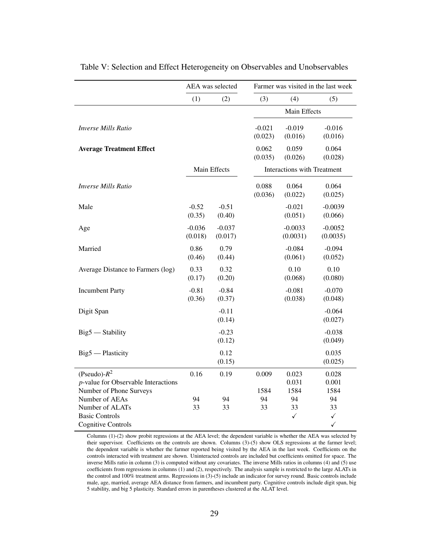<span id="page-29-0"></span>

|                     |                     | Farmer was visited in the last week          |                       |                                                                                 |  |
|---------------------|---------------------|----------------------------------------------|-----------------------|---------------------------------------------------------------------------------|--|
| (1)                 | (2)                 | (3)                                          | (4)                   | (5)                                                                             |  |
|                     |                     |                                              | Main Effects          |                                                                                 |  |
|                     |                     | $-0.021$<br>(0.023)                          | $-0.019$<br>(0.016)   | $-0.016$<br>(0.016)                                                             |  |
|                     |                     | 0.062<br>(0.035)                             | 0.059<br>(0.026)      | 0.064<br>(0.028)                                                                |  |
|                     |                     |                                              |                       |                                                                                 |  |
|                     |                     | 0.088<br>(0.036)                             | 0.064<br>(0.022)      | 0.064<br>(0.025)                                                                |  |
| $-0.52$<br>(0.35)   | $-0.51$<br>(0.40)   |                                              | $-0.021$<br>(0.051)   | $-0.0039$<br>(0.066)                                                            |  |
| $-0.036$<br>(0.018) | $-0.037$<br>(0.017) |                                              | $-0.0033$<br>(0.0031) | $-0.0052$<br>(0.0035)                                                           |  |
| 0.86<br>(0.46)      | 0.79<br>(0.44)      |                                              | $-0.084$<br>(0.061)   | $-0.094$<br>(0.052)                                                             |  |
| 0.33<br>(0.17)      | 0.32<br>(0.20)      |                                              | 0.10<br>(0.068)       | 0.10<br>(0.080)                                                                 |  |
| $-0.81$<br>(0.36)   | $-0.84$<br>(0.37)   |                                              | $-0.081$<br>(0.038)   | $-0.070$<br>(0.048)                                                             |  |
|                     | $-0.11$<br>(0.14)   |                                              |                       | $-0.064$<br>(0.027)                                                             |  |
|                     | $-0.23$<br>(0.12)   |                                              |                       | $-0.038$<br>(0.049)                                                             |  |
|                     | 0.12<br>(0.15)      |                                              |                       | 0.035<br>(0.025)                                                                |  |
| 0.16                | 0.19                | 0.009                                        | 0.023                 | 0.028                                                                           |  |
|                     |                     |                                              |                       | 0.001                                                                           |  |
|                     |                     |                                              |                       | 1584                                                                            |  |
|                     |                     |                                              |                       | 94                                                                              |  |
|                     |                     |                                              |                       | 33<br>$\checkmark$                                                              |  |
|                     |                     |                                              |                       | $\checkmark$                                                                    |  |
|                     | 94<br>33            | AEA was selected<br>Main Effects<br>94<br>33 | 1584<br>94<br>33      | <b>Interactions with Treatment</b><br>0.031<br>1584<br>94<br>33<br>$\checkmark$ |  |

Table V: Selection and Effect Heterogeneity on Observables and Unobservables

Columns (1)-(2) show probit regressions at the AEA level; the dependent variable is whether the AEA was selected by their supervisor. Coefficients on the controls are shown. Columns (3)-(5) show OLS regressions at the farmer level; the dependent variable is whether the farmer reported being visited by the AEA in the last week. Coefficients on the controls interacted with treatment are shown. Uninteracted controls are included but coefficients omitted for space. The inverse Mills ratio in column (3) is computed without any covariates. The inverse Mills ratios in columns (4) and (5) use coefficients from regressions in columns (1) and (2), respectively. The analysis sample is restricted to the large ALATs in the control and 100% treatment arms. Regressions in (3)-(5) include an indicator for survey round. Basic controls include male, age, married, average AEA distance from farmers, and incumbent party. Cognitive controls include digit span, big 5 stability, and big 5 plasticity. Standard errors in parentheses clustered at the ALAT level.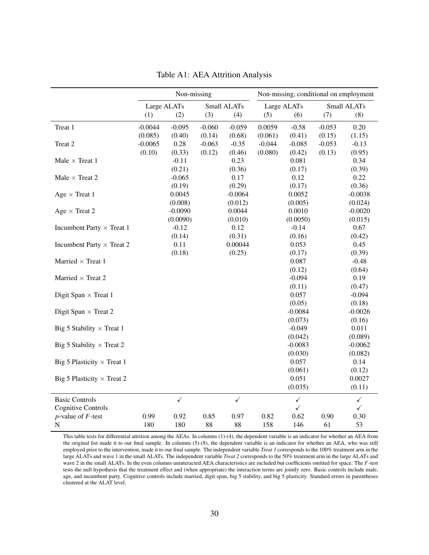<span id="page-30-0"></span>

|                                   |             | Non-missing  |            |              | Non-missing, conditional on employment |              |            |              |  |
|-----------------------------------|-------------|--------------|------------|--------------|----------------------------------------|--------------|------------|--------------|--|
|                                   |             | Large ALATs  |            | Small ALATs  |                                        | Large ALATs  |            | Small ALATs  |  |
|                                   | (1)         | (2)          | (3)        | (4)          | (5)                                    | (6)          | (7)        | (8)          |  |
| Treat 1                           | $-0.0044$   | $-0.095$     | $-0.060$   | $-0.059$     | 0.0059                                 | $-0.58$      | $-0.053$   | 0.20         |  |
|                                   | (0.085)     | (0.40)       | (0.14)     | (0.68)       | (0.061)                                | (0.41)       | (0.15)     | (1.15)       |  |
| Treat 2                           | $-0.0065$   | 0.28         | $-0.063$   | $-0.35$      | $-0.044$                               | $-0.085$     | $-0.053$   | $-0.13$      |  |
|                                   | (0.10)      | (0.33)       | (0.12)     | (0.46)       | (0.080)                                | (0.42)       | (0.13)     | (0.95)       |  |
| Male $\times$ Treat 1             |             | $-0.11$      |            | 0.23         |                                        | 0.081        |            | 0.34         |  |
|                                   |             | (0.21)       |            | (0.36)       |                                        | (0.17)       |            | (0.39)       |  |
| Male $\times$ Treat $2$           |             | $-0.065$     |            | 0.17         |                                        | 0.12         |            | 0.22         |  |
|                                   |             | (0.19)       |            | (0.29)       |                                        | (0.17)       |            | (0.36)       |  |
| Age $\times$ Treat 1              |             | 0.0045       |            | $-0.0064$    |                                        | 0.0052       |            | $-0.0038$    |  |
|                                   |             | (0.008)      |            | (0.012)      |                                        | (0.005)      |            | (0.024)      |  |
| Age $\times$ Treat 2              |             | $-0.0090$    |            | 0.0044       |                                        | 0.0010       |            | $-0.0020$    |  |
|                                   |             | (0.0090)     |            | (0.010)      |                                        | (0.0050)     |            | (0.015)      |  |
| Incumbent Party $\times$ Treat 1  |             | $-0.12$      |            | 0.12         |                                        | $-0.14$      |            | 0.67         |  |
|                                   |             | (0.14)       |            | (0.31)       |                                        | (0.16)       |            | (0.42)       |  |
| Incumbent Party $\times$ Treat 2  |             | 0.11         |            | 0.00044      |                                        | 0.053        |            | 0.45         |  |
|                                   |             | (0.18)       |            | (0.25)       |                                        | (0.17)       |            | (0.39)       |  |
| Married $\times$ Treat 1          |             |              |            |              |                                        | 0.087        |            | $-0.48$      |  |
|                                   |             |              |            |              |                                        | (0.12)       |            | (0.64)       |  |
| Married $\times$ Treat 2          |             |              |            |              |                                        | $-0.094$     |            | 0.19         |  |
|                                   |             |              |            |              |                                        | (0.11)       |            | (0.47)       |  |
| Digit Span $\times$ Treat 1       |             |              |            |              |                                        | 0.057        |            | $-0.094$     |  |
|                                   |             |              |            |              |                                        | (0.05)       |            | (0.18)       |  |
| Digit Span $\times$ Treat 2       |             |              |            |              |                                        | $-0.0084$    |            | $-0.0026$    |  |
|                                   |             |              |            |              |                                        | (0.073)      |            | (0.16)       |  |
| Big 5 Stability $\times$ Treat 1  |             |              |            |              |                                        | $-0.049$     |            | 0.011        |  |
|                                   |             |              |            |              |                                        | (0.042)      |            | (0.089)      |  |
| Big 5 Stability $\times$ Treat 2  |             |              |            |              |                                        | $-0.0083$    |            | $-0.0062$    |  |
|                                   |             |              |            |              |                                        | (0.030)      |            | (0.082)      |  |
| Big 5 Plasticity $\times$ Treat 1 |             |              |            |              |                                        | 0.057        |            | 0.14         |  |
|                                   |             |              |            |              |                                        | (0.061)      |            | (0.12)       |  |
| Big 5 Plasticity $\times$ Treat 2 |             |              |            |              |                                        | 0.051        |            | 0.0027       |  |
|                                   |             |              |            |              |                                        | (0.035)      |            | (0.11)       |  |
| <b>Basic Controls</b>             |             | $\checkmark$ |            | $\checkmark$ |                                        | $\checkmark$ |            | $\checkmark$ |  |
| <b>Cognitive Controls</b>         |             |              |            |              |                                        | $\checkmark$ |            | $\checkmark$ |  |
|                                   |             |              |            |              |                                        |              |            |              |  |
|                                   |             |              |            |              |                                        |              |            |              |  |
| $p$ -value of $F$ -test<br>N      | 0.99<br>180 | 0.92<br>180  | 0.85<br>88 | 0.97<br>88   | 0.82<br>158                            | 0.62<br>146  | 0.90<br>61 | 0.30<br>53   |  |

Table A1: AEA Attrition Analysis

This table tests for differential attrition among the AEAs. In columns (1)-(4), the dependent variable is an indicator for whether an AEA from the original list made it to our final sample. In columns (5)-(8), the dependent variable is an indicator for whether an AEA, who was still employed prior to the intervention, made it to our final sample. The independent variable *Treat 1* corresponds to the 100% treatment arm in the large ALATs and wave 1 in the small ALATs. The independent variable *Treat 2* corresponds to the 50% treatment arm in the large ALATs and wave 2 in the small ALATs. In the even columns uninteracted AEA characteristics are included but coefficients omitted for space. The *F*-test tests the null hypothesis that the treatment effect and (when appropriate) the interaction terms are jointly zero. Basic controls include male, age, and incumbent party. Cognitive controls include married, digit span, big 5 stability, and big 5 plasticity. Standard errors in parentheses clustered at the ALAT level.